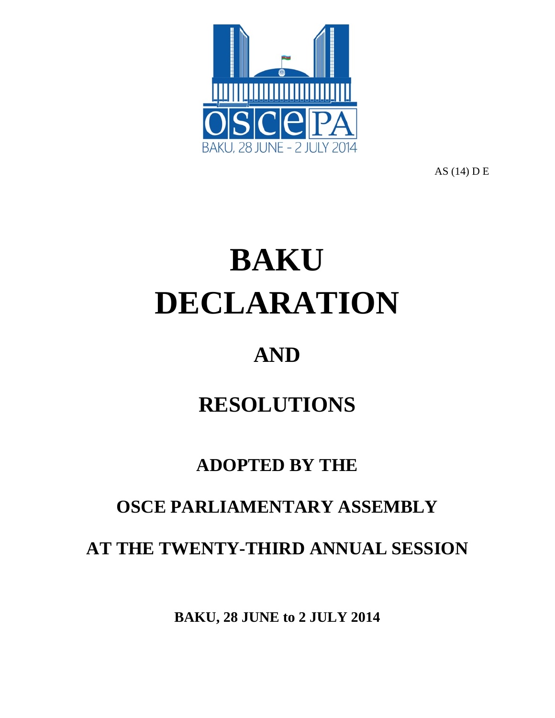

AS (14) D E

# **BAKU DECLARATION**

## **AND**

# **RESOLUTIONS**

### **ADOPTED BY THE**

### **OSCE PARLIAMENTARY ASSEMBLY**

**AT THE TWENTY-THIRD ANNUAL SESSION**

**BAKU, 28 JUNE to 2 JULY 2014**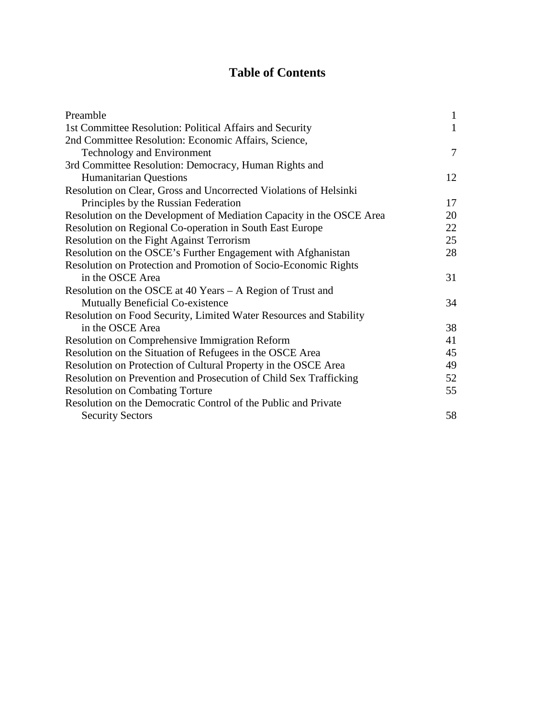#### **Table of Contents**

| Preamble                                                             | $\mathbf{1}$ |
|----------------------------------------------------------------------|--------------|
| 1st Committee Resolution: Political Affairs and Security             | $\mathbf{1}$ |
| 2nd Committee Resolution: Economic Affairs, Science,                 |              |
| <b>Technology and Environment</b>                                    | 7            |
| 3rd Committee Resolution: Democracy, Human Rights and                |              |
| <b>Humanitarian Questions</b>                                        | 12           |
| Resolution on Clear, Gross and Uncorrected Violations of Helsinki    |              |
| Principles by the Russian Federation                                 | 17           |
| Resolution on the Development of Mediation Capacity in the OSCE Area | 20           |
| Resolution on Regional Co-operation in South East Europe             | 22           |
| Resolution on the Fight Against Terrorism                            | 25           |
| Resolution on the OSCE's Further Engagement with Afghanistan         | 28           |
| Resolution on Protection and Promotion of Socio-Economic Rights      |              |
| in the OSCE Area                                                     | 31           |
| Resolution on the OSCE at 40 Years - A Region of Trust and           |              |
| Mutually Beneficial Co-existence                                     | 34           |
| Resolution on Food Security, Limited Water Resources and Stability   |              |
| in the OSCE Area                                                     | 38           |
| Resolution on Comprehensive Immigration Reform                       | 41           |
| Resolution on the Situation of Refugees in the OSCE Area             | 45           |
| Resolution on Protection of Cultural Property in the OSCE Area       | 49           |
| Resolution on Prevention and Prosecution of Child Sex Trafficking    | 52           |
| <b>Resolution on Combating Torture</b>                               | 55           |
| Resolution on the Democratic Control of the Public and Private       |              |
| <b>Security Sectors</b>                                              | 58           |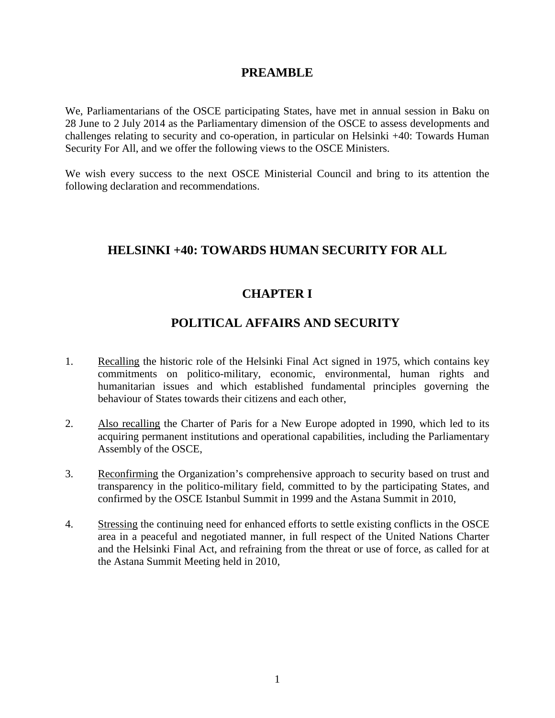#### **PREAMBLE**

We, Parliamentarians of the OSCE participating States, have met in annual session in Baku on 28 June to 2 July 2014 as the Parliamentary dimension of the OSCE to assess developments and challenges relating to security and co-operation, in particular on Helsinki +40: Towards Human Security For All, and we offer the following views to the OSCE Ministers.

We wish every success to the next OSCE Ministerial Council and bring to its attention the following declaration and recommendations.

#### **HELSINKI +40: TOWARDS HUMAN SECURITY FOR ALL**

#### **CHAPTER I**

#### **POLITICAL AFFAIRS AND SECURITY**

- 1. Recalling the historic role of the Helsinki Final Act signed in 1975, which contains key commitments on politico-military, economic, environmental, human rights and humanitarian issues and which established fundamental principles governing the behaviour of States towards their citizens and each other,
- 2. Also recalling the Charter of Paris for a New Europe adopted in 1990, which led to its acquiring permanent institutions and operational capabilities, including the Parliamentary Assembly of the OSCE,
- 3. Reconfirming the Organization's comprehensive approach to security based on trust and transparency in the politico-military field, committed to by the participating States, and confirmed by the OSCE Istanbul Summit in 1999 and the Astana Summit in 2010,
- 4. Stressing the continuing need for enhanced efforts to settle existing conflicts in the OSCE area in a peaceful and negotiated manner, in full respect of the United Nations Charter and the Helsinki Final Act, and refraining from the threat or use of force, as called for at the Astana Summit Meeting held in 2010,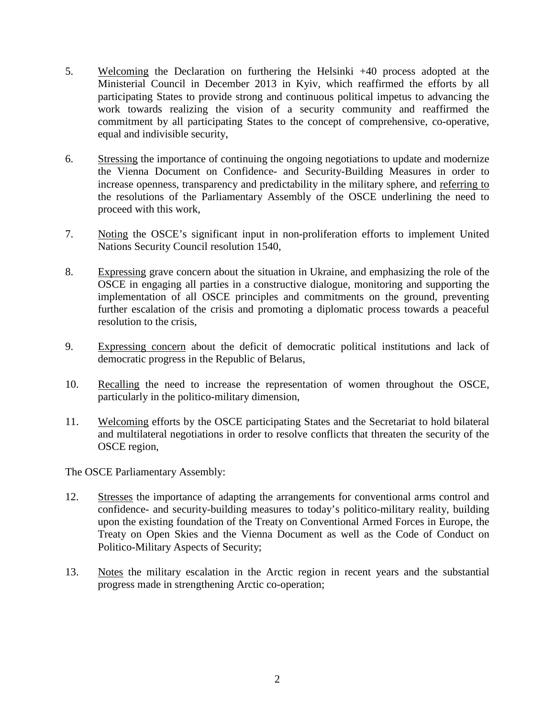- 5. Welcoming the Declaration on furthering the Helsinki +40 process adopted at the Ministerial Council in December 2013 in Kyiv, which reaffirmed the efforts by all participating States to provide strong and continuous political impetus to advancing the work towards realizing the vision of a security community and reaffirmed the commitment by all participating States to the concept of comprehensive, co-operative, equal and indivisible security,
- 6. Stressing the importance of continuing the ongoing negotiations to update and modernize the Vienna Document on Confidence- and Security-Building Measures in order to increase openness, transparency and predictability in the military sphere, and referring to the resolutions of the Parliamentary Assembly of the OSCE underlining the need to proceed with this work,
- 7. Noting the OSCE's significant input in non-proliferation efforts to implement United Nations Security Council resolution 1540,
- 8. Expressing grave concern about the situation in Ukraine, and emphasizing the role of the OSCE in engaging all parties in a constructive dialogue, monitoring and supporting the implementation of all OSCE principles and commitments on the ground, preventing further escalation of the crisis and promoting a diplomatic process towards a peaceful resolution to the crisis,
- 9. Expressing concern about the deficit of democratic political institutions and lack of democratic progress in the Republic of Belarus,
- 10. Recalling the need to increase the representation of women throughout the OSCE, particularly in the politico-military dimension,
- 11. Welcoming efforts by the OSCE participating States and the Secretariat to hold bilateral and multilateral negotiations in order to resolve conflicts that threaten the security of the OSCE region,

- 12. Stresses the importance of adapting the arrangements for conventional arms control and confidence- and security-building measures to today's politico-military reality, building upon the existing foundation of the Treaty on Conventional Armed Forces in Europe, the Treaty on Open Skies and the Vienna Document as well as the Code of Conduct on Politico-Military Aspects of Security;
- 13. Notes the military escalation in the Arctic region in recent years and the substantial progress made in strengthening Arctic co-operation;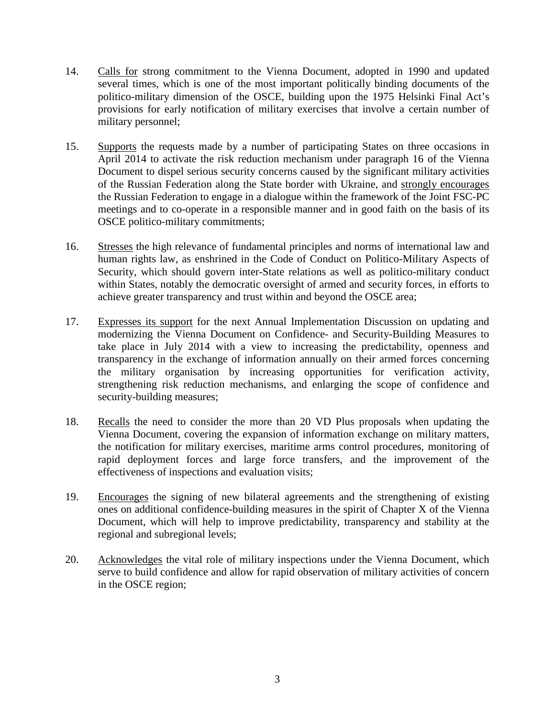- 14. Calls for strong commitment to the Vienna Document, adopted in 1990 and updated several times, which is one of the most important politically binding documents of the politico-military dimension of the OSCE, building upon the 1975 Helsinki Final Act's provisions for early notification of military exercises that involve a certain number of military personnel;
- 15. Supports the requests made by a number of participating States on three occasions in April 2014 to activate the risk reduction mechanism under paragraph 16 of the Vienna Document to dispel serious security concerns caused by the significant military activities of the Russian Federation along the State border with Ukraine, and strongly encourages the Russian Federation to engage in a dialogue within the framework of the Joint FSC-PC meetings and to co-operate in a responsible manner and in good faith on the basis of its OSCE politico-military commitments;
- 16. Stresses the high relevance of fundamental principles and norms of international law and human rights law, as enshrined in the Code of Conduct on Politico-Military Aspects of Security, which should govern inter-State relations as well as politico-military conduct within States, notably the democratic oversight of armed and security forces, in efforts to achieve greater transparency and trust within and beyond the OSCE area;
- 17. Expresses its support for the next Annual Implementation Discussion on updating and modernizing the Vienna Document on Confidence- and Security-Building Measures to take place in July 2014 with a view to increasing the predictability, openness and transparency in the exchange of information annually on their armed forces concerning the military organisation by increasing opportunities for verification activity, strengthening risk reduction mechanisms, and enlarging the scope of confidence and security-building measures;
- 18. Recalls the need to consider the more than 20 VD Plus proposals when updating the Vienna Document, covering the expansion of information exchange on military matters, the notification for military exercises, maritime arms control procedures, monitoring of rapid deployment forces and large force transfers, and the improvement of the effectiveness of inspections and evaluation visits;
- 19. Encourages the signing of new bilateral agreements and the strengthening of existing ones on additional confidence-building measures in the spirit of Chapter X of the Vienna Document, which will help to improve predictability, transparency and stability at the regional and subregional levels;
- 20. Acknowledges the vital role of military inspections under the Vienna Document, which serve to build confidence and allow for rapid observation of military activities of concern in the OSCE region;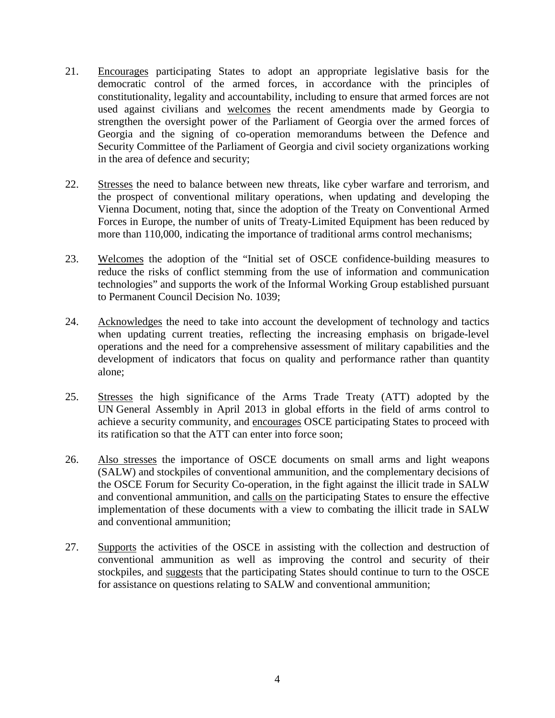- 21. Encourages participating States to adopt an appropriate legislative basis for the democratic control of the armed forces, in accordance with the principles of constitutionality, legality and accountability, including to ensure that armed forces are not used against civilians and welcomes the recent amendments made by Georgia to strengthen the oversight power of the Parliament of Georgia over the armed forces of Georgia and the signing of co-operation memorandums between the Defence and Security Committee of the Parliament of Georgia and civil society organizations working in the area of defence and security;
- 22. Stresses the need to balance between new threats, like cyber warfare and terrorism, and the prospect of conventional military operations, when updating and developing the Vienna Document, noting that, since the adoption of the Treaty on Conventional Armed Forces in Europe, the number of units of Treaty-Limited Equipment has been reduced by more than 110,000, indicating the importance of traditional arms control mechanisms;
- 23. Welcomes the adoption of the "Initial set of OSCE confidence-building measures to reduce the risks of conflict stemming from the use of information and communication technologies" and supports the work of the Informal Working Group established pursuant to Permanent Council Decision No. 1039;
- 24. Acknowledges the need to take into account the development of technology and tactics when updating current treaties, reflecting the increasing emphasis on brigade-level operations and the need for a comprehensive assessment of military capabilities and the development of indicators that focus on quality and performance rather than quantity alone;
- 25. Stresses the high significance of the Arms Trade Treaty (ATT) adopted by the UN General Assembly in April 2013 in global efforts in the field of arms control to achieve a security community, and encourages OSCE participating States to proceed with its ratification so that the ATT can enter into force soon;
- 26. Also stresses the importance of OSCE documents on small arms and light weapons (SALW) and stockpiles of conventional ammunition, and the complementary decisions of the OSCE Forum for Security Co-operation, in the fight against the illicit trade in SALW and conventional ammunition, and calls on the participating States to ensure the effective implementation of these documents with a view to combating the illicit trade in SALW and conventional ammunition;
- 27. Supports the activities of the OSCE in assisting with the collection and destruction of conventional ammunition as well as improving the control and security of their stockpiles, and suggests that the participating States should continue to turn to the OSCE for assistance on questions relating to SALW and conventional ammunition;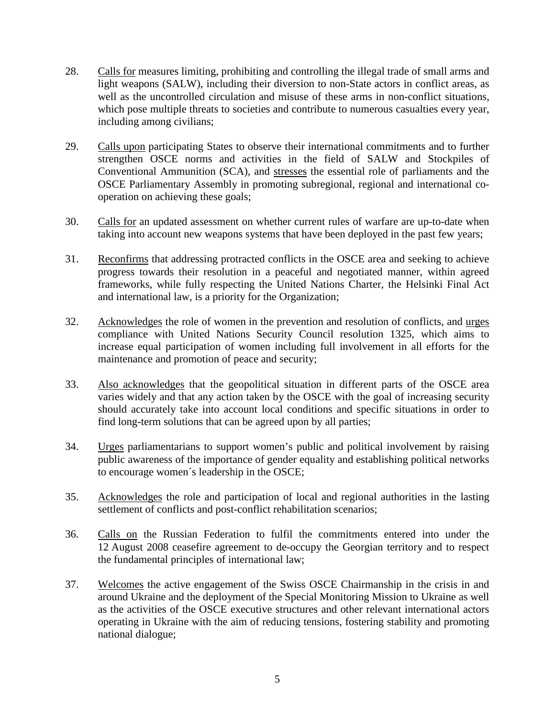- 28. Calls for measures limiting, prohibiting and controlling the illegal trade of small arms and light weapons (SALW), including their diversion to non-State actors in conflict areas, as well as the uncontrolled circulation and misuse of these arms in non-conflict situations, which pose multiple threats to societies and contribute to numerous casualties every year, including among civilians;
- 29. Calls upon participating States to observe their international commitments and to further strengthen OSCE norms and activities in the field of SALW and Stockpiles of Conventional Ammunition (SCA), and stresses the essential role of parliaments and the OSCE Parliamentary Assembly in promoting subregional, regional and international cooperation on achieving these goals;
- 30. Calls for an updated assessment on whether current rules of warfare are up-to-date when taking into account new weapons systems that have been deployed in the past few years;
- 31. Reconfirms that addressing protracted conflicts in the OSCE area and seeking to achieve progress towards their resolution in a peaceful and negotiated manner, within agreed frameworks, while fully respecting the United Nations Charter, the Helsinki Final Act and international law, is a priority for the Organization;
- 32. Acknowledges the role of women in the prevention and resolution of conflicts, and urges compliance with United Nations Security Council resolution 1325, which aims to increase equal participation of women including full involvement in all efforts for the maintenance and promotion of peace and security;
- 33. Also acknowledges that the geopolitical situation in different parts of the OSCE area varies widely and that any action taken by the OSCE with the goal of increasing security should accurately take into account local conditions and specific situations in order to find long-term solutions that can be agreed upon by all parties;
- 34. Urges parliamentarians to support women's public and political involvement by raising public awareness of the importance of gender equality and establishing political networks to encourage women´s leadership in the OSCE;
- 35. Acknowledges the role and participation of local and regional authorities in the lasting settlement of conflicts and post-conflict rehabilitation scenarios;
- 36. Calls on the Russian Federation to fulfil the commitments entered into under the 12 August 2008 ceasefire agreement to de-occupy the Georgian territory and to respect the fundamental principles of international law;
- 37. Welcomes the active engagement of the Swiss OSCE Chairmanship in the crisis in and around Ukraine and the deployment of the Special Monitoring Mission to Ukraine as well as the activities of the OSCE executive structures and other relevant international actors operating in Ukraine with the aim of reducing tensions, fostering stability and promoting national dialogue;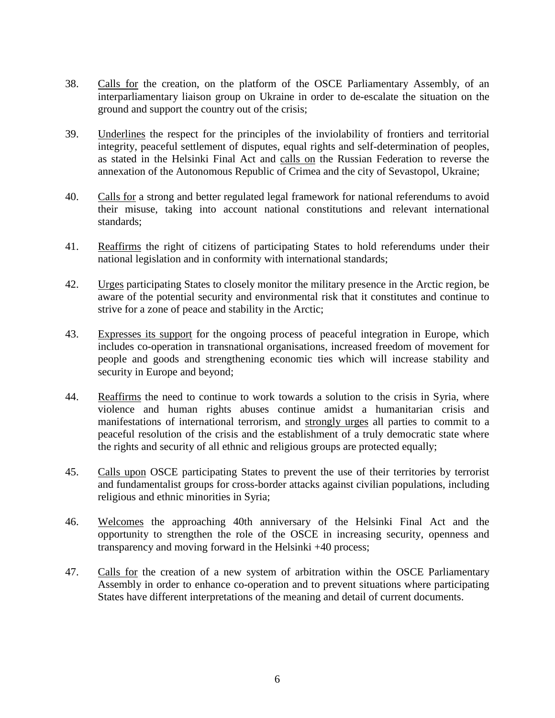- 38. Calls for the creation, on the platform of the OSCE Parliamentary Assembly, of an interparliamentary liaison group on Ukraine in order to de-escalate the situation on the ground and support the country out of the crisis;
- 39. Underlines the respect for the principles of the inviolability of frontiers and territorial integrity, peaceful settlement of disputes, equal rights and self-determination of peoples, as stated in the Helsinki Final Act and calls on the Russian Federation to reverse the annexation of the Autonomous Republic of Crimea and the city of Sevastopol, Ukraine;
- 40. Calls for a strong and better regulated legal framework for national referendums to avoid their misuse, taking into account national constitutions and relevant international standards;
- 41. Reaffirms the right of citizens of participating States to hold referendums under their national legislation and in conformity with international standards;
- 42. Urges participating States to closely monitor the military presence in the Arctic region, be aware of the potential security and environmental risk that it constitutes and continue to strive for a zone of peace and stability in the Arctic;
- 43. Expresses its support for the ongoing process of peaceful integration in Europe, which includes co-operation in transnational organisations, increased freedom of movement for people and goods and strengthening economic ties which will increase stability and security in Europe and beyond;
- 44. Reaffirms the need to continue to work towards a solution to the crisis in Syria, where violence and human rights abuses continue amidst a humanitarian crisis and manifestations of international terrorism, and strongly urges all parties to commit to a peaceful resolution of the crisis and the establishment of a truly democratic state where the rights and security of all ethnic and religious groups are protected equally;
- 45. Calls upon OSCE participating States to prevent the use of their territories by terrorist and fundamentalist groups for cross-border attacks against civilian populations, including religious and ethnic minorities in Syria;
- 46. Welcomes the approaching 40th anniversary of the Helsinki Final Act and the opportunity to strengthen the role of the OSCE in increasing security, openness and transparency and moving forward in the Helsinki +40 process;
- 47. Calls for the creation of a new system of arbitration within the OSCE Parliamentary Assembly in order to enhance co-operation and to prevent situations where participating States have different interpretations of the meaning and detail of current documents.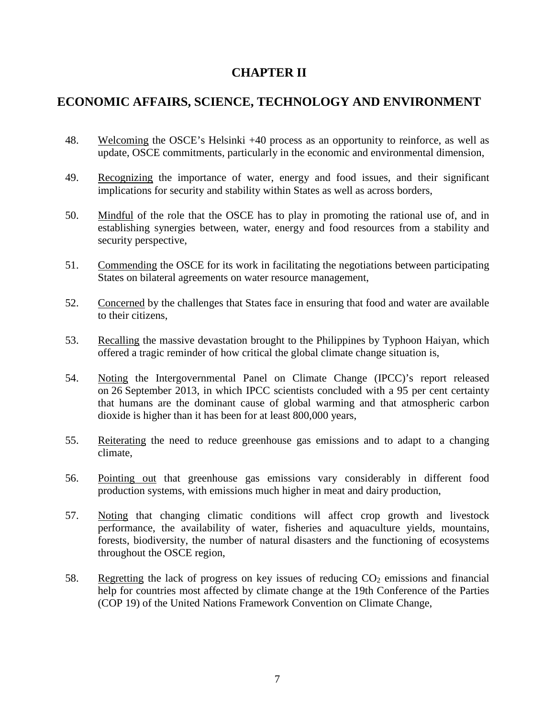#### **CHAPTER II**

#### **ECONOMIC AFFAIRS, SCIENCE, TECHNOLOGY AND ENVIRONMENT**

- 48. Welcoming the OSCE's Helsinki +40 process as an opportunity to reinforce, as well as update, OSCE commitments, particularly in the economic and environmental dimension,
- 49. Recognizing the importance of water, energy and food issues, and their significant implications for security and stability within States as well as across borders,
- 50. Mindful of the role that the OSCE has to play in promoting the rational use of, and in establishing synergies between, water, energy and food resources from a stability and security perspective,
- 51. Commending the OSCE for its work in facilitating the negotiations between participating States on bilateral agreements on water resource management,
- 52. Concerned by the challenges that States face in ensuring that food and water are available to their citizens,
- 53. Recalling the massive devastation brought to the Philippines by Typhoon Haiyan, which offered a tragic reminder of how critical the global climate change situation is,
- 54. Noting the Intergovernmental Panel on Climate Change (IPCC)'s report released on 26 September 2013, in which IPCC scientists concluded with a 95 per cent certainty that humans are the dominant cause of global warming and that atmospheric carbon dioxide is higher than it has been for at least 800,000 years,
- 55. Reiterating the need to reduce greenhouse gas emissions and to adapt to a changing climate,
- 56. Pointing out that greenhouse gas emissions vary considerably in different food production systems, with emissions much higher in meat and dairy production,
- 57. Noting that changing climatic conditions will affect crop growth and livestock performance, the availability of water, fisheries and aquaculture yields, mountains, forests, biodiversity, the number of natural disasters and the functioning of ecosystems throughout the OSCE region,
- 58. Regretting the lack of progress on key issues of reducing  $CO<sub>2</sub>$  emissions and financial help for countries most affected by climate change at the 19th Conference of the Parties (COP 19) of the United Nations Framework Convention on Climate Change,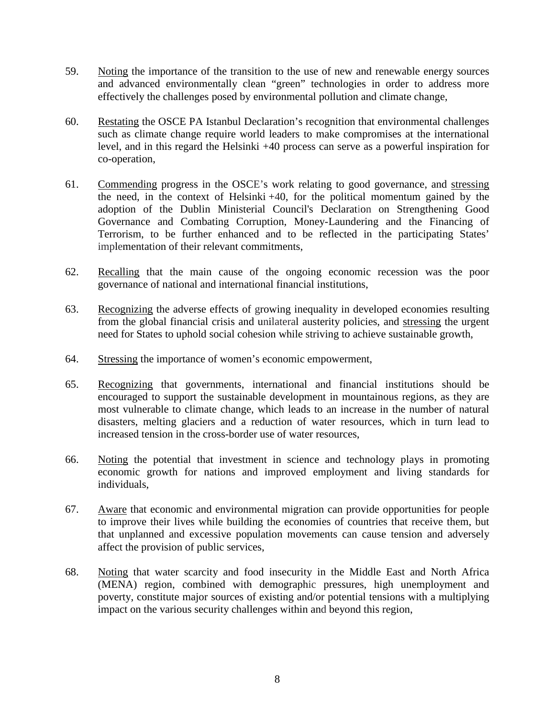- 59. Noting the importance of the transition to the use of new and renewable energy sources and advanced environmentally clean "green" technologies in order to address more effectively the challenges posed by environmental pollution and climate change,
- 60. Restating the OSCE PA Istanbul Declaration's recognition that environmental challenges such as climate change require world leaders to make compromises at the international level, and in this regard the Helsinki +40 process can serve as a powerful inspiration for co-operation,
- 61. Commending progress in the OSCE's work relating to good governance, and stressing the need, in the context of Helsinki +40, for the political momentum gained by the adoption of the Dublin Ministerial Council's Declaration on Strengthening Good Governance and Combating Corruption, Money-Laundering and the Financing of Terrorism, to be further enhanced and to be reflected in the participating States' implementation of their relevant commitments,
- 62. Recalling that the main cause of the ongoing economic recession was the poor governance of national and international financial institutions,
- 63. Recognizing the adverse effects of growing inequality in developed economies resulting from the global financial crisis and unilateral austerity policies, and stressing the urgent need for States to uphold social cohesion while striving to achieve sustainable growth,
- 64. Stressing the importance of women's economic empowerment,
- 65. Recognizing that governments, international and financial institutions should be encouraged to support the sustainable development in mountainous regions, as they are most vulnerable to climate change, which leads to an increase in the number of natural disasters, melting glaciers and a reduction of water resources, which in turn lead to increased tension in the cross-border use of water resources,
- 66. Noting the potential that investment in science and technology plays in promoting economic growth for nations and improved employment and living standards for individuals,
- 67. Aware that economic and environmental migration can provide opportunities for people to improve their lives while building the economies of countries that receive them, but that unplanned and excessive population movements can cause tension and adversely affect the provision of public services,
- 68. Noting that water scarcity and food insecurity in the Middle East and North Africa (MENA) region, combined with demographic pressures, high unemployment and poverty, constitute major sources of existing and/or potential tensions with a multiplying impact on the various security challenges within and beyond this region,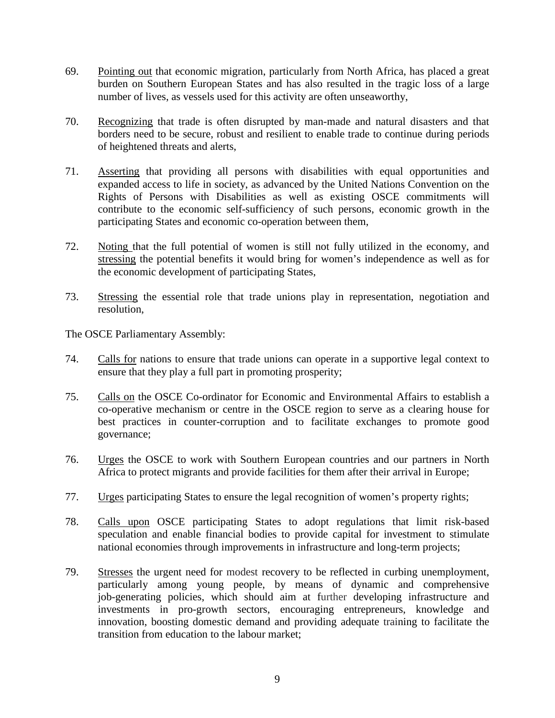- 69. Pointing out that economic migration, particularly from North Africa, has placed a great burden on Southern European States and has also resulted in the tragic loss of a large number of lives, as vessels used for this activity are often unseaworthy,
- 70. Recognizing that trade is often disrupted by man-made and natural disasters and that borders need to be secure, robust and resilient to enable trade to continue during periods of heightened threats and alerts,
- 71. Asserting that providing all persons with disabilities with equal opportunities and expanded access to life in society, as advanced by the United Nations Convention on the Rights of Persons with Disabilities as well as existing OSCE commitments will contribute to the economic self-sufficiency of such persons, economic growth in the participating States and economic co-operation between them,
- 72. Noting that the full potential of women is still not fully utilized in the economy, and stressing the potential benefits it would bring for women's independence as well as for the economic development of participating States,
- 73. Stressing the essential role that trade unions play in representation, negotiation and resolution,

- 74. Calls for nations to ensure that trade unions can operate in a supportive legal context to ensure that they play a full part in promoting prosperity;
- 75. Calls on the OSCE Co-ordinator for Economic and Environmental Affairs to establish a co-operative mechanism or centre in the OSCE region to serve as a clearing house for best practices in counter-corruption and to facilitate exchanges to promote good governance;
- 76. Urges the OSCE to work with Southern European countries and our partners in North Africa to protect migrants and provide facilities for them after their arrival in Europe;
- 77. Urges participating States to ensure the legal recognition of women's property rights;
- 78. Calls upon OSCE participating States to adopt regulations that limit risk-based speculation and enable financial bodies to provide capital for investment to stimulate national economies through improvements in infrastructure and long-term projects;
- 79. Stresses the urgent need for modest recovery to be reflected in curbing unemployment, particularly among young people, by means of dynamic and comprehensive job-generating policies, which should aim at further developing infrastructure and investments in pro-growth sectors, encouraging entrepreneurs, knowledge and innovation, boosting domestic demand and providing adequate training to facilitate the transition from education to the labour market;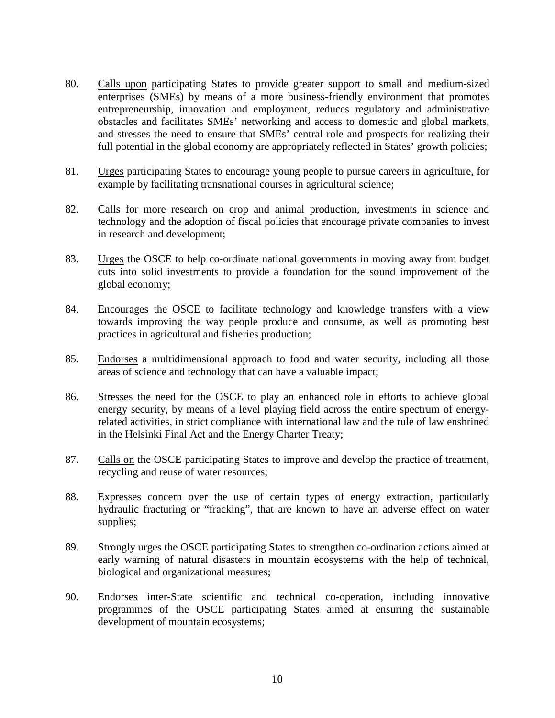- 80. Calls upon participating States to provide greater support to small and medium-sized enterprises (SMEs) by means of a more business-friendly environment that promotes entrepreneurship, innovation and employment, reduces regulatory and administrative obstacles and facilitates SMEs' networking and access to domestic and global markets, and stresses the need to ensure that SMEs' central role and prospects for realizing their full potential in the global economy are appropriately reflected in States' growth policies;
- 81. Urges participating States to encourage young people to pursue careers in agriculture, for example by facilitating transnational courses in agricultural science;
- 82. Calls for more research on crop and animal production, investments in science and technology and the adoption of fiscal policies that encourage private companies to invest in research and development;
- 83. Urges the OSCE to help co-ordinate national governments in moving away from budget cuts into solid investments to provide a foundation for the sound improvement of the global economy;
- 84. Encourages the OSCE to facilitate technology and knowledge transfers with a view towards improving the way people produce and consume, as well as promoting best practices in agricultural and fisheries production;
- 85. Endorses a multidimensional approach to food and water security, including all those areas of science and technology that can have a valuable impact;
- 86. Stresses the need for the OSCE to play an enhanced role in efforts to achieve global energy security, by means of a level playing field across the entire spectrum of energyrelated activities, in strict compliance with international law and the rule of law enshrined in the Helsinki Final Act and the Energy Charter Treaty;
- 87. Calls on the OSCE participating States to improve and develop the practice of treatment, recycling and reuse of water resources;
- 88. Expresses concern over the use of certain types of energy extraction, particularly hydraulic fracturing or "fracking", that are known to have an adverse effect on water supplies;
- 89. Strongly urges the OSCE participating States to strengthen co-ordination actions aimed at early warning of natural disasters in mountain ecosystems with the help of technical, biological and organizational measures;
- 90. Endorses inter-State scientific and technical co-operation, including innovative programmes of the OSCE participating States aimed at ensuring the sustainable development of mountain ecosystems;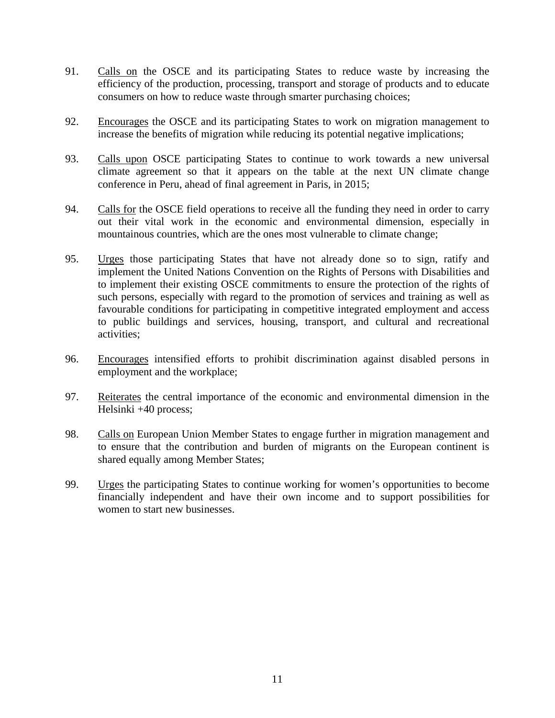- 91. Calls on the OSCE and its participating States to reduce waste by increasing the efficiency of the production, processing, transport and storage of products and to educate consumers on how to reduce waste through smarter purchasing choices;
- 92. Encourages the OSCE and its participating States to work on migration management to increase the benefits of migration while reducing its potential negative implications;
- 93. Calls upon OSCE participating States to continue to work towards a new universal climate agreement so that it appears on the table at the next UN climate change conference in Peru, ahead of final agreement in Paris, in 2015;
- 94. Calls for the OSCE field operations to receive all the funding they need in order to carry out their vital work in the economic and environmental dimension, especially in mountainous countries, which are the ones most vulnerable to climate change;
- 95. Urges those participating States that have not already done so to sign, ratify and implement the United Nations Convention on the Rights of Persons with Disabilities and to implement their existing OSCE commitments to ensure the protection of the rights of such persons, especially with regard to the promotion of services and training as well as favourable conditions for participating in competitive integrated employment and access to public buildings and services, housing, transport, and cultural and recreational activities;
- 96. Encourages intensified efforts to prohibit discrimination against disabled persons in employment and the workplace;
- 97. Reiterates the central importance of the economic and environmental dimension in the Helsinki +40 process;
- 98. Calls on European Union Member States to engage further in migration management and to ensure that the contribution and burden of migrants on the European continent is shared equally among Member States;
- 99. Urges the participating States to continue working for women's opportunities to become financially independent and have their own income and to support possibilities for women to start new businesses.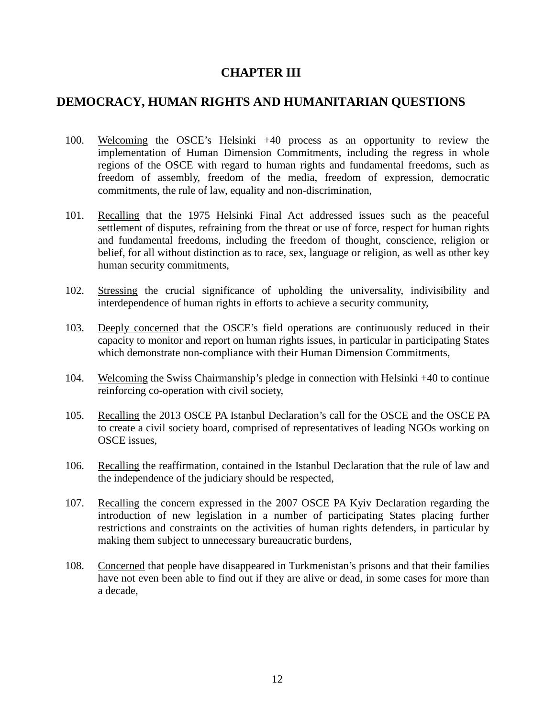#### **CHAPTER III**

#### **DEMOCRACY, HUMAN RIGHTS AND HUMANITARIAN QUESTIONS**

- 100. Welcoming the OSCE's Helsinki +40 process as an opportunity to review the implementation of Human Dimension Commitments, including the regress in whole regions of the OSCE with regard to human rights and fundamental freedoms, such as freedom of assembly, freedom of the media, freedom of expression, democratic commitments, the rule of law, equality and non-discrimination,
- 101. Recalling that the 1975 Helsinki Final Act addressed issues such as the peaceful settlement of disputes, refraining from the threat or use of force, respect for human rights and fundamental freedoms, including the freedom of thought, conscience, religion or belief, for all without distinction as to race, sex, language or religion, as well as other key human security commitments,
- 102. Stressing the crucial significance of upholding the universality, indivisibility and interdependence of human rights in efforts to achieve a security community,
- 103. Deeply concerned that the OSCE's field operations are continuously reduced in their capacity to monitor and report on human rights issues, in particular in participating States which demonstrate non-compliance with their Human Dimension Commitments,
- 104. Welcoming the Swiss Chairmanship's pledge in connection with Helsinki +40 to continue reinforcing co-operation with civil society,
- 105. Recalling the 2013 OSCE PA Istanbul Declaration's call for the OSCE and the OSCE PA to create a civil society board, comprised of representatives of leading NGOs working on OSCE issues,
- 106. Recalling the reaffirmation, contained in the Istanbul Declaration that the rule of law and the independence of the judiciary should be respected,
- 107. Recalling the concern expressed in the 2007 OSCE PA Kyiv Declaration regarding the introduction of new legislation in a number of participating States placing further restrictions and constraints on the activities of human rights defenders, in particular by making them subject to unnecessary bureaucratic burdens,
- 108. Concerned that people have disappeared in Turkmenistan's prisons and that their families have not even been able to find out if they are alive or dead, in some cases for more than a decade,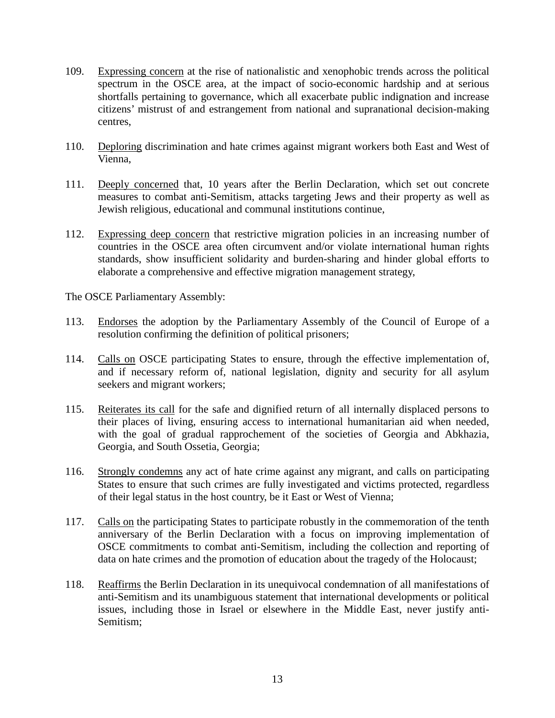- 109. Expressing concern at the rise of nationalistic and xenophobic trends across the political spectrum in the OSCE area, at the impact of socio-economic hardship and at serious shortfalls pertaining to governance, which all exacerbate public indignation and increase citizens' mistrust of and estrangement from national and supranational decision-making centres,
- 110. Deploring discrimination and hate crimes against migrant workers both East and West of Vienna,
- 111. Deeply concerned that, 10 years after the Berlin Declaration, which set out concrete measures to combat anti-Semitism, attacks targeting Jews and their property as well as Jewish religious, educational and communal institutions continue,
- 112. Expressing deep concern that restrictive migration policies in an increasing number of countries in the OSCE area often circumvent and/or violate international human rights standards, show insufficient solidarity and burden-sharing and hinder global efforts to elaborate a comprehensive and effective migration management strategy,

- 113. Endorses the adoption by the Parliamentary Assembly of the Council of Europe of a resolution confirming the definition of political prisoners;
- 114. Calls on OSCE participating States to ensure, through the effective implementation of, and if necessary reform of, national legislation, dignity and security for all asylum seekers and migrant workers;
- 115. Reiterates its call for the safe and dignified return of all internally displaced persons to their places of living, ensuring access to international humanitarian aid when needed, with the goal of gradual rapprochement of the societies of Georgia and Abkhazia, Georgia, and South Ossetia, Georgia;
- 116. Strongly condemns any act of hate crime against any migrant, and calls on participating States to ensure that such crimes are fully investigated and victims protected, regardless of their legal status in the host country, be it East or West of Vienna;
- 117. Calls on the participating States to participate robustly in the commemoration of the tenth anniversary of the Berlin Declaration with a focus on improving implementation of OSCE commitments to combat anti-Semitism, including the collection and reporting of data on hate crimes and the promotion of education about the tragedy of the Holocaust;
- 118. Reaffirms the Berlin Declaration in its unequivocal condemnation of all manifestations of anti-Semitism and its unambiguous statement that international developments or political issues, including those in Israel or elsewhere in the Middle East, never justify anti-Semitism;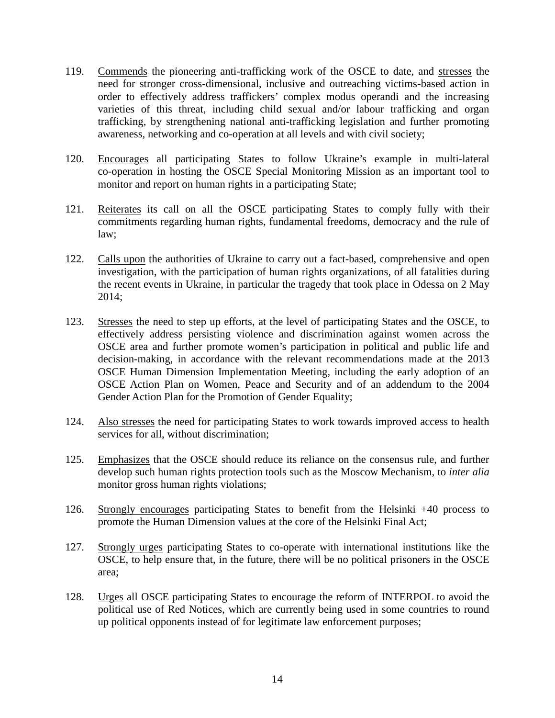- 119. Commends the pioneering anti-trafficking work of the OSCE to date, and stresses the need for stronger cross-dimensional, inclusive and outreaching victims-based action in order to effectively address traffickers' complex modus operandi and the increasing varieties of this threat, including child sexual and/or labour trafficking and organ trafficking, by strengthening national anti-trafficking legislation and further promoting awareness, networking and co-operation at all levels and with civil society;
- 120. Encourages all participating States to follow Ukraine's example in multi-lateral co-operation in hosting the OSCE Special Monitoring Mission as an important tool to monitor and report on human rights in a participating State;
- 121. Reiterates its call on all the OSCE participating States to comply fully with their commitments regarding human rights, fundamental freedoms, democracy and the rule of law;
- 122. Calls upon the authorities of Ukraine to carry out a fact-based, comprehensive and open investigation, with the participation of human rights organizations, of all fatalities during the recent events in Ukraine, in particular the tragedy that took place in Odessa on 2 May 2014;
- 123. Stresses the need to step up efforts, at the level of participating States and the OSCE, to effectively address persisting violence and discrimination against women across the OSCE area and further promote women's participation in political and public life and decision-making, in accordance with the relevant recommendations made at the 2013 OSCE Human Dimension Implementation Meeting, including the early adoption of an OSCE Action Plan on Women, Peace and Security and of an addendum to the 2004 Gender Action Plan for the Promotion of Gender Equality;
- 124. Also stresses the need for participating States to work towards improved access to health services for all, without discrimination;
- 125. Emphasizes that the OSCE should reduce its reliance on the consensus rule, and further develop such human rights protection tools such as the Moscow Mechanism, to *inter alia* monitor gross human rights violations;
- 126. Strongly encourages participating States to benefit from the Helsinki +40 process to promote the Human Dimension values at the core of the Helsinki Final Act;
- 127. Strongly urges participating States to co-operate with international institutions like the OSCE, to help ensure that, in the future, there will be no political prisoners in the OSCE area;
- 128. Urges all OSCE participating States to encourage the reform of INTERPOL to avoid the political use of Red Notices, which are currently being used in some countries to round up political opponents instead of for legitimate law enforcement purposes;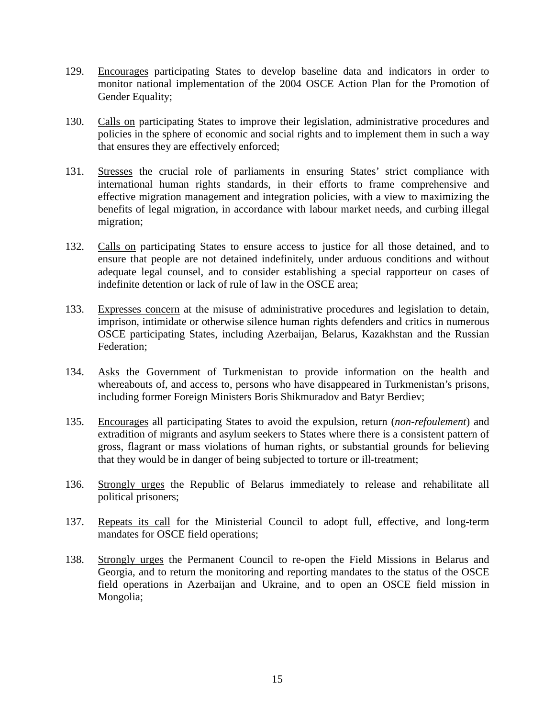- 129. Encourages participating States to develop baseline data and indicators in order to monitor national implementation of the 2004 OSCE Action Plan for the Promotion of Gender Equality;
- 130. Calls on participating States to improve their legislation, administrative procedures and policies in the sphere of economic and social rights and to implement them in such a way that ensures they are effectively enforced;
- 131. Stresses the crucial role of parliaments in ensuring States' strict compliance with international human rights standards, in their efforts to frame comprehensive and effective migration management and integration policies, with a view to maximizing the benefits of legal migration, in accordance with labour market needs, and curbing illegal migration;
- 132. Calls on participating States to ensure access to justice for all those detained, and to ensure that people are not detained indefinitely, under arduous conditions and without adequate legal counsel, and to consider establishing a special rapporteur on cases of indefinite detention or lack of rule of law in the OSCE area;
- 133. Expresses concern at the misuse of administrative procedures and legislation to detain, imprison, intimidate or otherwise silence human rights defenders and critics in numerous OSCE participating States, including Azerbaijan, Belarus, Kazakhstan and the Russian Federation;
- 134. Asks the Government of Turkmenistan to provide information on the health and whereabouts of, and access to, persons who have disappeared in Turkmenistan's prisons, including former Foreign Ministers Boris Shikmuradov and Batyr Berdiev;
- 135. Encourages all participating States to avoid the expulsion, return (*non-refoulement*) and extradition of migrants and asylum seekers to States where there is a consistent pattern of gross, flagrant or mass violations of human rights, or substantial grounds for believing that they would be in danger of being subjected to torture or ill-treatment;
- 136. Strongly urges the Republic of Belarus immediately to release and rehabilitate all political prisoners;
- 137. Repeats its call for the Ministerial Council to adopt full, effective, and long-term mandates for OSCE field operations;
- 138. Strongly urges the Permanent Council to re-open the Field Missions in Belarus and Georgia, and to return the monitoring and reporting mandates to the status of the OSCE field operations in Azerbaijan and Ukraine, and to open an OSCE field mission in Mongolia;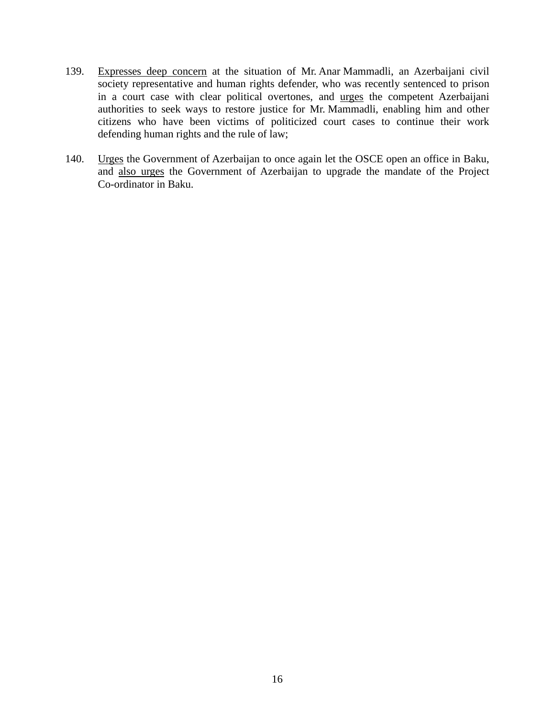- 139. Expresses deep concern at the situation of Mr. Anar Mammadli, an Azerbaijani civil society representative and human rights defender, who was recently sentenced to prison in a court case with clear political overtones, and urges the competent Azerbaijani authorities to seek ways to restore justice for Mr. Mammadli, enabling him and other citizens who have been victims of politicized court cases to continue their work defending human rights and the rule of law;
- 140. Urges the Government of Azerbaijan to once again let the OSCE open an office in Baku, and also urges the Government of Azerbaijan to upgrade the mandate of the Project Co-ordinator in Baku.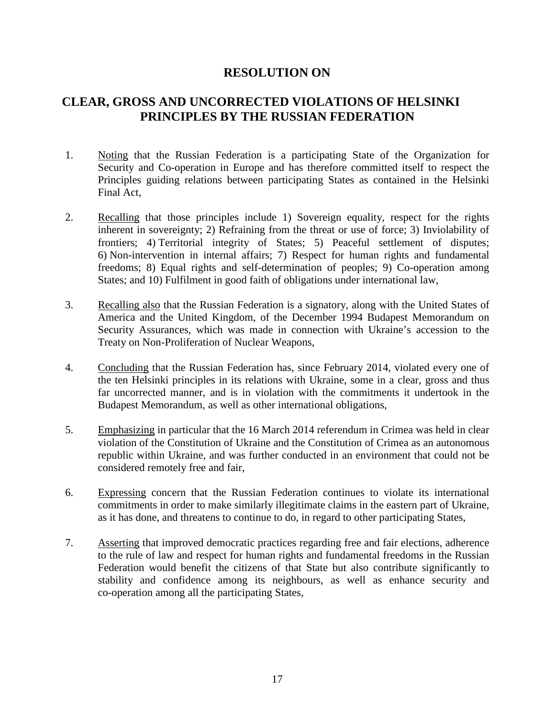#### **CLEAR, GROSS AND UNCORRECTED VIOLATIONS OF HELSINKI PRINCIPLES BY THE RUSSIAN FEDERATION**

- 1. Noting that the Russian Federation is a participating State of the Organization for Security and Co-operation in Europe and has therefore committed itself to respect the Principles guiding relations between participating States as contained in the Helsinki Final Act,
- 2. Recalling that those principles include 1) Sovereign equality, respect for the rights inherent in sovereignty; 2) Refraining from the threat or use of force; 3) Inviolability of frontiers; 4) Territorial integrity of States; 5) Peaceful settlement of disputes; 6) Non-intervention in internal affairs; 7) Respect for human rights and fundamental freedoms; 8) Equal rights and self-determination of peoples; 9) Co-operation among States; and 10) Fulfilment in good faith of obligations under international law,
- 3. Recalling also that the Russian Federation is a signatory, along with the United States of America and the United Kingdom, of the December 1994 Budapest Memorandum on Security Assurances, which was made in connection with Ukraine's accession to the Treaty on Non-Proliferation of Nuclear Weapons,
- 4. Concluding that the Russian Federation has, since February 2014, violated every one of the ten Helsinki principles in its relations with Ukraine, some in a clear, gross and thus far uncorrected manner, and is in violation with the commitments it undertook in the Budapest Memorandum, as well as other international obligations,
- 5. Emphasizing in particular that the 16 March 2014 referendum in Crimea was held in clear violation of the Constitution of Ukraine and the Constitution of Crimea as an autonomous republic within Ukraine, and was further conducted in an environment that could not be considered remotely free and fair,
- 6. Expressing concern that the Russian Federation continues to violate its international commitments in order to make similarly illegitimate claims in the eastern part of Ukraine, as it has done, and threatens to continue to do, in regard to other participating States,
- 7. Asserting that improved democratic practices regarding free and fair elections, adherence to the rule of law and respect for human rights and fundamental freedoms in the Russian Federation would benefit the citizens of that State but also contribute significantly to stability and confidence among its neighbours, as well as enhance security and co-operation among all the participating States,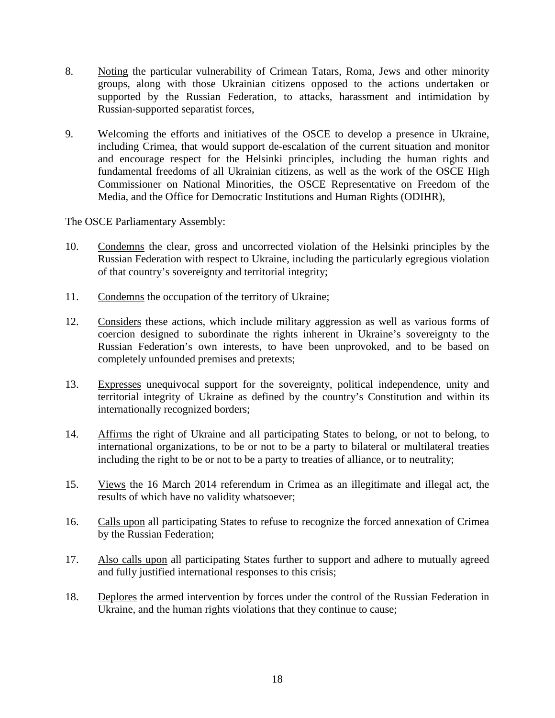- 8. Noting the particular vulnerability of Crimean Tatars, Roma, Jews and other minority groups, along with those Ukrainian citizens opposed to the actions undertaken or supported by the Russian Federation, to attacks, harassment and intimidation by Russian-supported separatist forces,
- 9. Welcoming the efforts and initiatives of the OSCE to develop a presence in Ukraine, including Crimea, that would support de-escalation of the current situation and monitor and encourage respect for the Helsinki principles, including the human rights and fundamental freedoms of all Ukrainian citizens, as well as the work of the OSCE High Commissioner on National Minorities, the OSCE Representative on Freedom of the Media, and the Office for Democratic Institutions and Human Rights (ODIHR),

- 10. Condemns the clear, gross and uncorrected violation of the Helsinki principles by the Russian Federation with respect to Ukraine, including the particularly egregious violation of that country's sovereignty and territorial integrity;
- 11. Condemns the occupation of the territory of Ukraine;
- 12. Considers these actions, which include military aggression as well as various forms of coercion designed to subordinate the rights inherent in Ukraine's sovereignty to the Russian Federation's own interests, to have been unprovoked, and to be based on completely unfounded premises and pretexts;
- 13. Expresses unequivocal support for the sovereignty, political independence, unity and territorial integrity of Ukraine as defined by the country's Constitution and within its internationally recognized borders;
- 14. Affirms the right of Ukraine and all participating States to belong, or not to belong, to international organizations, to be or not to be a party to bilateral or multilateral treaties including the right to be or not to be a party to treaties of alliance, or to neutrality;
- 15. Views the 16 March 2014 referendum in Crimea as an illegitimate and illegal act, the results of which have no validity whatsoever;
- 16. Calls upon all participating States to refuse to recognize the forced annexation of Crimea by the Russian Federation;
- 17. Also calls upon all participating States further to support and adhere to mutually agreed and fully justified international responses to this crisis;
- 18. Deplores the armed intervention by forces under the control of the Russian Federation in Ukraine, and the human rights violations that they continue to cause;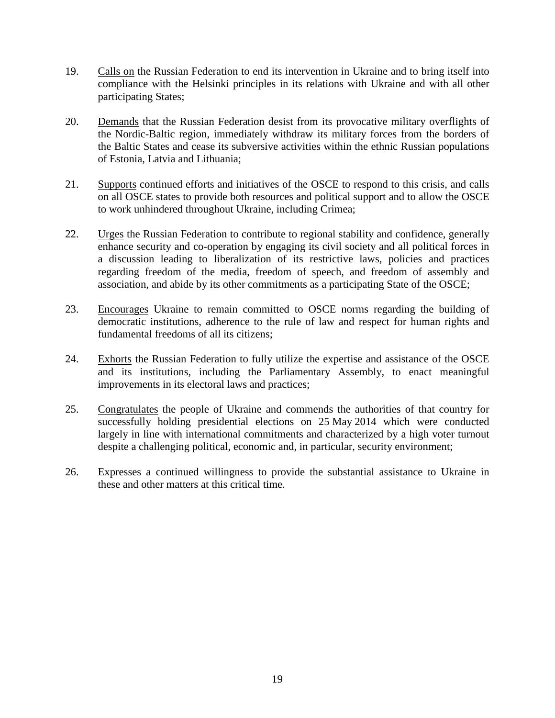- 19. Calls on the Russian Federation to end its intervention in Ukraine and to bring itself into compliance with the Helsinki principles in its relations with Ukraine and with all other participating States;
- 20. Demands that the Russian Federation desist from its provocative military overflights of the Nordic-Baltic region, immediately withdraw its military forces from the borders of the Baltic States and cease its subversive activities within the ethnic Russian populations of Estonia, Latvia and Lithuania;
- 21. Supports continued efforts and initiatives of the OSCE to respond to this crisis, and calls on all OSCE states to provide both resources and political support and to allow the OSCE to work unhindered throughout Ukraine, including Crimea;
- 22. Urges the Russian Federation to contribute to regional stability and confidence, generally enhance security and co-operation by engaging its civil society and all political forces in a discussion leading to liberalization of its restrictive laws, policies and practices regarding freedom of the media, freedom of speech, and freedom of assembly and association, and abide by its other commitments as a participating State of the OSCE;
- 23. Encourages Ukraine to remain committed to OSCE norms regarding the building of democratic institutions, adherence to the rule of law and respect for human rights and fundamental freedoms of all its citizens;
- 24. Exhorts the Russian Federation to fully utilize the expertise and assistance of the OSCE and its institutions, including the Parliamentary Assembly, to enact meaningful improvements in its electoral laws and practices;
- 25. Congratulates the people of Ukraine and commends the authorities of that country for successfully holding presidential elections on 25 May 2014 which were conducted largely in line with international commitments and characterized by a high voter turnout despite a challenging political, economic and, in particular, security environment;
- 26. Expresses a continued willingness to provide the substantial assistance to Ukraine in these and other matters at this critical time.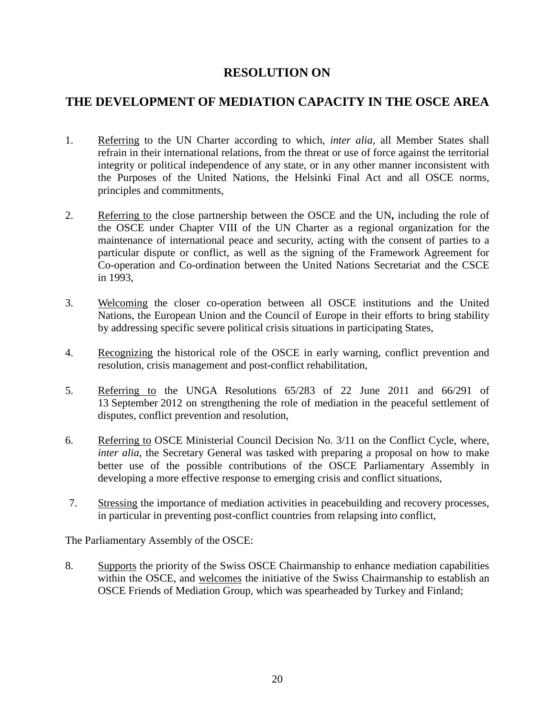#### **THE DEVELOPMENT OF MEDIATION CAPACITY IN THE OSCE AREA**

- 1. Referring to the UN Charter according to which, *inter alia,* all Member States shall refrain in their international relations, from the threat or use of force against the territorial integrity or political independence of any state, or in any other manner inconsistent with the Purposes of the United Nations, the Helsinki Final Act and all OSCE norms, principles and commitments,
- 2. Referring to the close partnership between the OSCE and the UN**,** including the role of the OSCE under Chapter VIII of the UN Charter as a regional organization for the maintenance of international peace and security, acting with the consent of parties to a particular dispute or conflict, as well as the signing of the Framework Agreement for Co-operation and Co-ordination between the United Nations Secretariat and the CSCE in 1993,
- 3. Welcoming the closer co-operation between all OSCE institutions and the United Nations, the European Union and the Council of Europe in their efforts to bring stability by addressing specific severe political crisis situations in participating States,
- 4. Recognizing the historical role of the OSCE in early warning, conflict prevention and resolution, crisis management and post-conflict rehabilitation,
- 5. Referring to the UNGA Resolutions 65/283 of 22 June 2011 and 66/291 of 13 September 2012 on strengthening the role of mediation in the peaceful settlement of disputes, conflict prevention and resolution,
- 6. Referring to OSCE Ministerial Council Decision No. 3/11 on the Conflict Cycle, where, *inter alia,* the Secretary General was tasked with preparing a proposal on how to make better use of the possible contributions of the OSCE Parliamentary Assembly in developing a more effective response to emerging crisis and conflict situations,
- 7. Stressing the importance of mediation activities in peacebuilding and recovery processes, in particular in preventing post-conflict countries from relapsing into conflict,

The Parliamentary Assembly of the OSCE:

8. Supports the priority of the Swiss OSCE Chairmanship to enhance mediation capabilities within the OSCE, and welcomes the initiative of the Swiss Chairmanship to establish an OSCE Friends of Mediation Group, which was spearheaded by Turkey and Finland;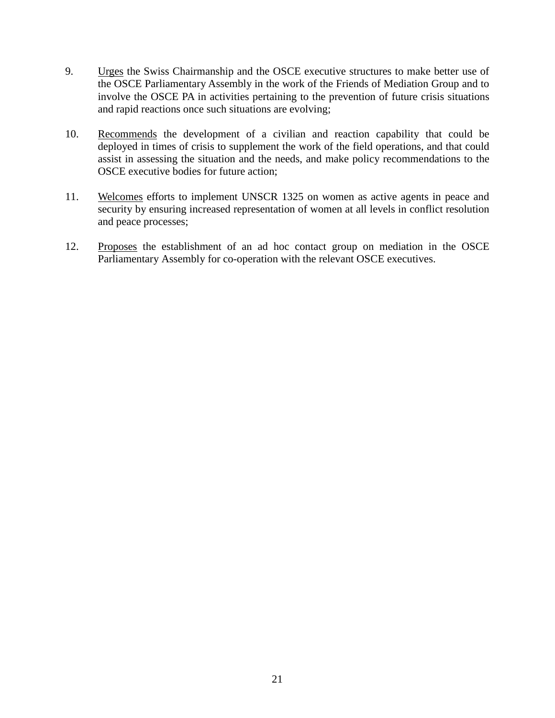- 9. Urges the Swiss Chairmanship and the OSCE executive structures to make better use of the OSCE Parliamentary Assembly in the work of the Friends of Mediation Group and to involve the OSCE PA in activities pertaining to the prevention of future crisis situations and rapid reactions once such situations are evolving;
- 10. Recommends the development of a civilian and reaction capability that could be deployed in times of crisis to supplement the work of the field operations, and that could assist in assessing the situation and the needs, and make policy recommendations to the OSCE executive bodies for future action;
- 11. Welcomes efforts to implement UNSCR 1325 on women as active agents in peace and security by ensuring increased representation of women at all levels in conflict resolution and peace processes;
- 12. Proposes the establishment of an ad hoc contact group on mediation in the OSCE Parliamentary Assembly for co-operation with the relevant OSCE executives.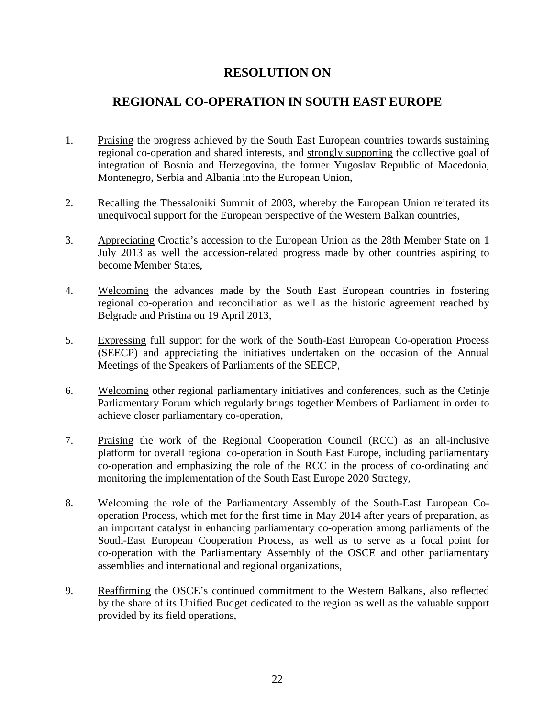#### **REGIONAL CO-OPERATION IN SOUTH EAST EUROPE**

- 1. Praising the progress achieved by the South East European countries towards sustaining regional co-operation and shared interests, and strongly supporting the collective goal of integration of Bosnia and Herzegovina, the former Yugoslav Republic of Macedonia, Montenegro, Serbia and Albania into the European Union,
- 2. Recalling the Thessaloniki Summit of 2003, whereby the European Union reiterated its unequivocal support for the European perspective of the Western Balkan countries,
- 3. Appreciating Croatia's accession to the European Union as the 28th Member State on 1 July 2013 as well the accession-related progress made by other countries aspiring to become Member States,
- 4. Welcoming the advances made by the South East European countries in fostering regional co-operation and reconciliation as well as the historic agreement reached by Belgrade and Pristina on 19 April 2013,
- 5. Expressing full support for the work of the South-East European Co-operation Process (SEECP) and appreciating the initiatives undertaken on the occasion of the Annual Meetings of the Speakers of Parliaments of the SEECP,
- 6. Welcoming other regional parliamentary initiatives and conferences, such as the Cetinje Parliamentary Forum which regularly brings together Members of Parliament in order to achieve closer parliamentary co-operation,
- 7. Praising the work of the Regional Cooperation Council (RCC) as an all-inclusive platform for overall regional co-operation in South East Europe, including parliamentary co-operation and emphasizing the role of the RCC in the process of co-ordinating and monitoring the implementation of the South East Europe 2020 Strategy,
- 8. Welcoming the role of the Parliamentary Assembly of the South-East European Cooperation Process, which met for the first time in May 2014 after years of preparation, as an important catalyst in enhancing parliamentary co-operation among parliaments of the South-East European Cooperation Process, as well as to serve as a focal point for co-operation with the Parliamentary Assembly of the OSCE and other parliamentary assemblies and international and regional organizations,
- 9. Reaffirming the OSCE's continued commitment to the Western Balkans, also reflected by the share of its Unified Budget dedicated to the region as well as the valuable support provided by its field operations,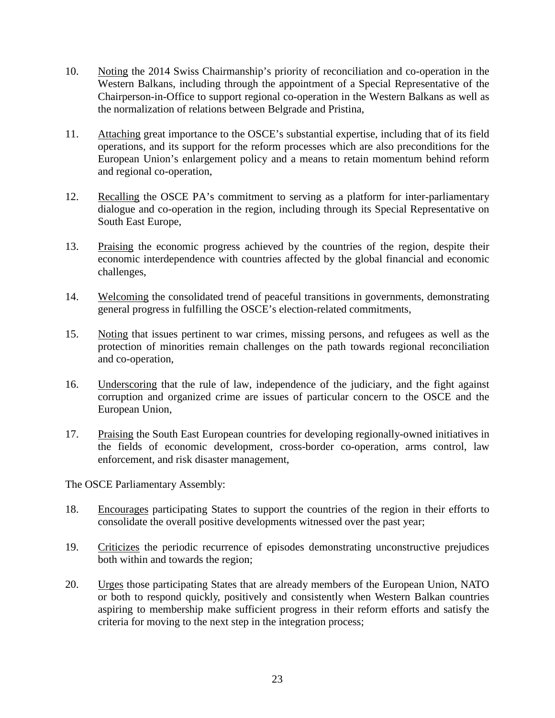- 10. Noting the 2014 Swiss Chairmanship's priority of reconciliation and co-operation in the Western Balkans, including through the appointment of a Special Representative of the Chairperson-in-Office to support regional co-operation in the Western Balkans as well as the normalization of relations between Belgrade and Pristina,
- 11. Attaching great importance to the OSCE's substantial expertise, including that of its field operations, and its support for the reform processes which are also preconditions for the European Union's enlargement policy and a means to retain momentum behind reform and regional co-operation,
- 12. Recalling the OSCE PA's commitment to serving as a platform for inter-parliamentary dialogue and co-operation in the region, including through its Special Representative on South East Europe,
- 13. Praising the economic progress achieved by the countries of the region, despite their economic interdependence with countries affected by the global financial and economic challenges,
- 14. Welcoming the consolidated trend of peaceful transitions in governments, demonstrating general progress in fulfilling the OSCE's election-related commitments,
- 15. Noting that issues pertinent to war crimes, missing persons, and refugees as well as the protection of minorities remain challenges on the path towards regional reconciliation and co-operation,
- 16. Underscoring that the rule of law, independence of the judiciary, and the fight against corruption and organized crime are issues of particular concern to the OSCE and the European Union,
- 17. Praising the South East European countries for developing regionally-owned initiatives in the fields of economic development, cross-border co-operation, arms control, law enforcement, and risk disaster management,

- 18. Encourages participating States to support the countries of the region in their efforts to consolidate the overall positive developments witnessed over the past year;
- 19. Criticizes the periodic recurrence of episodes demonstrating unconstructive prejudices both within and towards the region;
- 20. Urges those participating States that are already members of the European Union, NATO or both to respond quickly, positively and consistently when Western Balkan countries aspiring to membership make sufficient progress in their reform efforts and satisfy the criteria for moving to the next step in the integration process;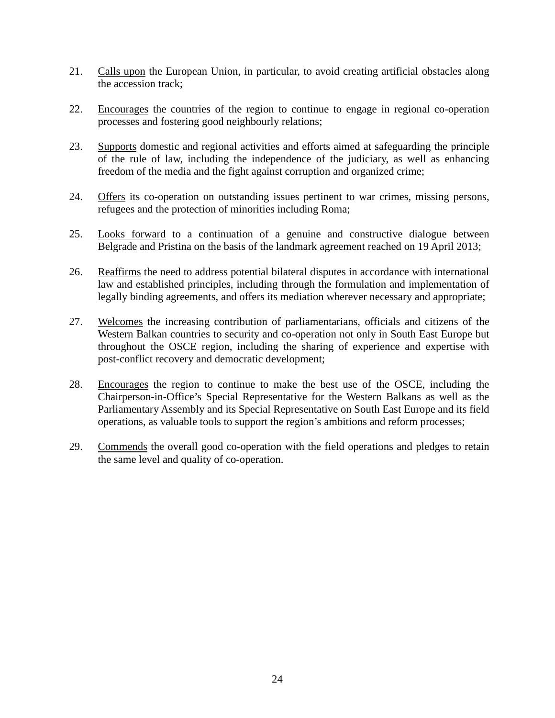- 21. Calls upon the European Union, in particular, to avoid creating artificial obstacles along the accession track;
- 22. Encourages the countries of the region to continue to engage in regional co-operation processes and fostering good neighbourly relations;
- 23. Supports domestic and regional activities and efforts aimed at safeguarding the principle of the rule of law, including the independence of the judiciary, as well as enhancing freedom of the media and the fight against corruption and organized crime;
- 24. Offers its co-operation on outstanding issues pertinent to war crimes, missing persons, refugees and the protection of minorities including Roma;
- 25. Looks forward to a continuation of a genuine and constructive dialogue between Belgrade and Pristina on the basis of the landmark agreement reached on 19 April 2013;
- 26. Reaffirms the need to address potential bilateral disputes in accordance with international law and established principles, including through the formulation and implementation of legally binding agreements, and offers its mediation wherever necessary and appropriate;
- 27. Welcomes the increasing contribution of parliamentarians, officials and citizens of the Western Balkan countries to security and co-operation not only in South East Europe but throughout the OSCE region, including the sharing of experience and expertise with post-conflict recovery and democratic development;
- 28. Encourages the region to continue to make the best use of the OSCE, including the Chairperson-in-Office's Special Representative for the Western Balkans as well as the Parliamentary Assembly and its Special Representative on South East Europe and its field operations, as valuable tools to support the region's ambitions and reform processes;
- 29. Commends the overall good co-operation with the field operations and pledges to retain the same level and quality of co-operation.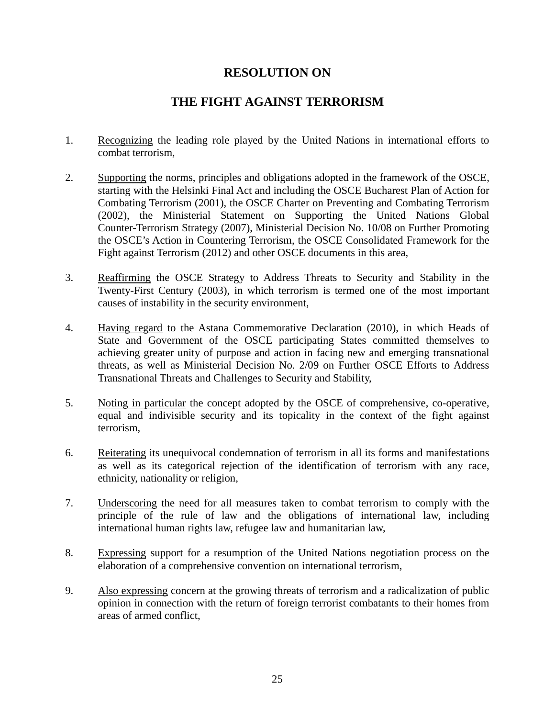#### **THE FIGHT AGAINST TERRORISM**

- 1. Recognizing the leading role played by the United Nations in international efforts to combat terrorism,
- 2. Supporting the norms, principles and obligations adopted in the framework of the OSCE, starting with the Helsinki Final Act and including the OSCE Bucharest Plan of Action for Combating Terrorism (2001), the OSCE Charter on Preventing and Combating Terrorism (2002), the Ministerial Statement on Supporting the United Nations Global Counter-Terrorism Strategy (2007), Ministerial Decision No. 10/08 on Further Promoting the OSCE's Action in Countering Terrorism, the OSCE Consolidated Framework for the Fight against Terrorism (2012) and other OSCE documents in this area,
- 3. Reaffirming the OSCE Strategy to Address Threats to Security and Stability in the Twenty-First Century (2003), in which terrorism is termed one of the most important causes of instability in the security environment,
- 4. Having regard to the Astana Commemorative Declaration (2010), in which Heads of State and Government of the OSCE participating States committed themselves to achieving greater unity of purpose and action in facing new and emerging transnational threats, as well as Ministerial Decision No. 2/09 on Further OSCE Efforts to Address Transnational Threats and Challenges to Security and Stability,
- 5. Noting in particular the concept adopted by the OSCE of comprehensive, co-operative, equal and indivisible security and its topicality in the context of the fight against terrorism,
- 6. Reiterating its unequivocal condemnation of terrorism in all its forms and manifestations as well as its categorical rejection of the identification of terrorism with any race, ethnicity, nationality or religion,
- 7. Underscoring the need for all measures taken to combat terrorism to comply with the principle of the rule of law and the obligations of international law, including international human rights law, refugee law and humanitarian law,
- 8. Expressing support for a resumption of the United Nations negotiation process on the elaboration of a comprehensive convention on international terrorism,
- 9. Also expressing concern at the growing threats of terrorism and a radicalization of public opinion in connection with the return of foreign terrorist combatants to their homes from areas of armed conflict,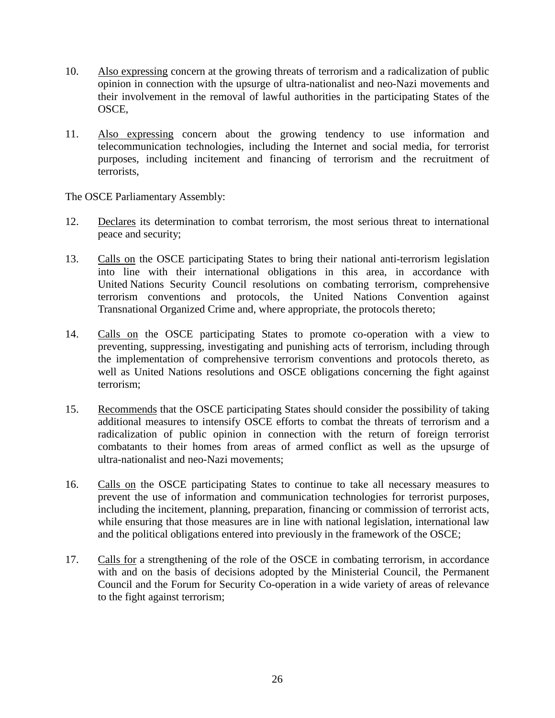- 10. Also expressing concern at the growing threats of terrorism and a radicalization of public opinion in connection with the upsurge of ultra-nationalist and neo-Nazi movements and their involvement in the removal of lawful authorities in the participating States of the OSCE,
- 11. Also expressing concern about the growing tendency to use information and telecommunication technologies, including the Internet and social media, for terrorist purposes, including incitement and financing of terrorism and the recruitment of terrorists,

- 12. Declares its determination to combat terrorism, the most serious threat to international peace and security;
- 13. Calls on the OSCE participating States to bring their national anti-terrorism legislation into line with their international obligations in this area, in accordance with United Nations Security Council resolutions on combating terrorism, comprehensive terrorism conventions and protocols, the United Nations Convention against Transnational Organized Crime and, where appropriate, the protocols thereto;
- 14. Calls on the OSCE participating States to promote co-operation with a view to preventing, suppressing, investigating and punishing acts of terrorism, including through the implementation of comprehensive terrorism conventions and protocols thereto, as well as United Nations resolutions and OSCE obligations concerning the fight against terrorism;
- 15. Recommends that the OSCE participating States should consider the possibility of taking additional measures to intensify OSCE efforts to combat the threats of terrorism and a radicalization of public opinion in connection with the return of foreign terrorist combatants to their homes from areas of armed conflict as well as the upsurge of ultra-nationalist and neo-Nazi movements;
- 16. Calls on the OSCE participating States to continue to take all necessary measures to prevent the use of information and communication technologies for terrorist purposes, including the incitement, planning, preparation, financing or commission of terrorist acts, while ensuring that those measures are in line with national legislation, international law and the political obligations entered into previously in the framework of the OSCE;
- 17. Calls for a strengthening of the role of the OSCE in combating terrorism, in accordance with and on the basis of decisions adopted by the Ministerial Council, the Permanent Council and the Forum for Security Co-operation in a wide variety of areas of relevance to the fight against terrorism;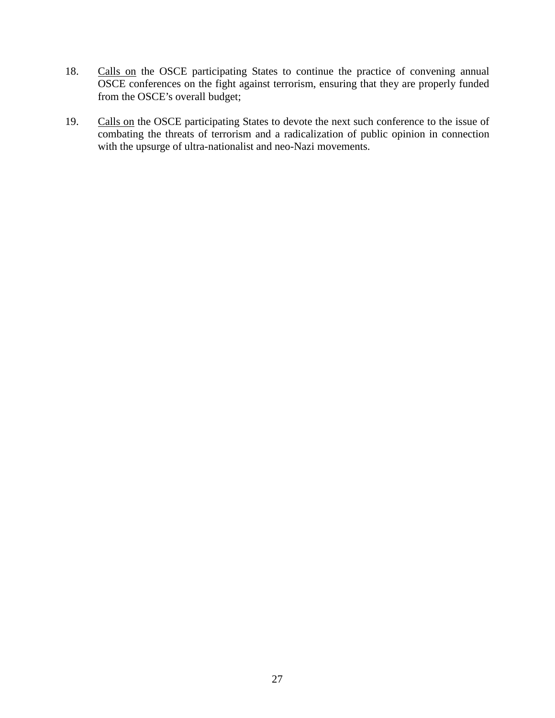- 18. Calls on the OSCE participating States to continue the practice of convening annual OSCE conferences on the fight against terrorism, ensuring that they are properly funded from the OSCE's overall budget;
- 19. Calls on the OSCE participating States to devote the next such conference to the issue of combating the threats of terrorism and a radicalization of public opinion in connection with the upsurge of ultra-nationalist and neo-Nazi movements.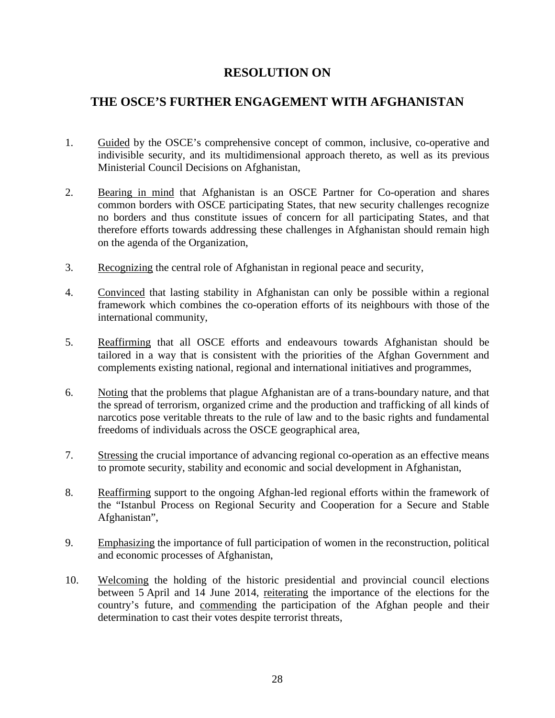#### **THE OSCE'S FURTHER ENGAGEMENT WITH AFGHANISTAN**

- 1. Guided by the OSCE's comprehensive concept of common, inclusive, co-operative and indivisible security, and its multidimensional approach thereto, as well as its previous Ministerial Council Decisions on Afghanistan,
- 2. Bearing in mind that Afghanistan is an OSCE Partner for Co-operation and shares common borders with OSCE participating States, that new security challenges recognize no borders and thus constitute issues of concern for all participating States, and that therefore efforts towards addressing these challenges in Afghanistan should remain high on the agenda of the Organization,
- 3. Recognizing the central role of Afghanistan in regional peace and security,
- 4. Convinced that lasting stability in Afghanistan can only be possible within a regional framework which combines the co-operation efforts of its neighbours with those of the international community,
- 5. Reaffirming that all OSCE efforts and endeavours towards Afghanistan should be tailored in a way that is consistent with the priorities of the Afghan Government and complements existing national, regional and international initiatives and programmes,
- 6. Noting that the problems that plague Afghanistan are of a trans-boundary nature, and that the spread of terrorism, organized crime and the production and trafficking of all kinds of narcotics pose veritable threats to the rule of law and to the basic rights and fundamental freedoms of individuals across the OSCE geographical area,
- 7. Stressing the crucial importance of advancing regional co-operation as an effective means to promote security, stability and economic and social development in Afghanistan,
- 8. Reaffirming support to the ongoing Afghan-led regional efforts within the framework of the "Istanbul Process on Regional Security and Cooperation for a Secure and Stable Afghanistan",
- 9. Emphasizing the importance of full participation of women in the reconstruction, political and economic processes of Afghanistan,
- 10. Welcoming the holding of the historic presidential and provincial council elections between 5 April and 14 June 2014, reiterating the importance of the elections for the country's future, and commending the participation of the Afghan people and their determination to cast their votes despite terrorist threats,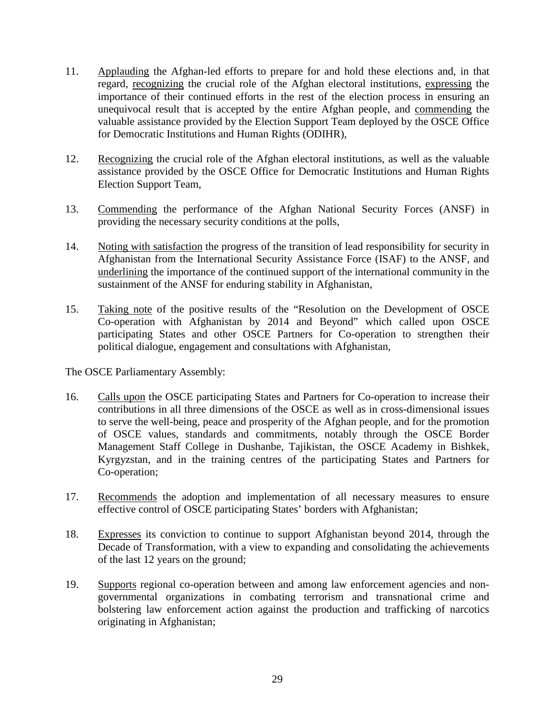- 11. Applauding the Afghan-led efforts to prepare for and hold these elections and, in that regard, recognizing the crucial role of the Afghan electoral institutions, expressing the importance of their continued efforts in the rest of the election process in ensuring an unequivocal result that is accepted by the entire Afghan people, and commending the valuable assistance provided by the Election Support Team deployed by the OSCE Office for Democratic Institutions and Human Rights (ODIHR),
- 12. Recognizing the crucial role of the Afghan electoral institutions, as well as the valuable assistance provided by the OSCE Office for Democratic Institutions and Human Rights Election Support Team,
- 13. Commending the performance of the Afghan National Security Forces (ANSF) in providing the necessary security conditions at the polls,
- 14. Noting with satisfaction the progress of the transition of lead responsibility for security in Afghanistan from the International Security Assistance Force (ISAF) to the ANSF, and underlining the importance of the continued support of the international community in the sustainment of the ANSF for enduring stability in Afghanistan,
- 15. Taking note of the positive results of the "Resolution on the Development of OSCE Co-operation with Afghanistan by 2014 and Beyond" which called upon OSCE participating States and other OSCE Partners for Co-operation to strengthen their political dialogue, engagement and consultations with Afghanistan,

- 16. Calls upon the OSCE participating States and Partners for Co-operation to increase their contributions in all three dimensions of the OSCE as well as in cross-dimensional issues to serve the well-being, peace and prosperity of the Afghan people, and for the promotion of OSCE values, standards and commitments, notably through the OSCE Border Management Staff College in Dushanbe, Tajikistan, the OSCE Academy in Bishkek, Kyrgyzstan, and in the training centres of the participating States and Partners for Co-operation;
- 17. Recommends the adoption and implementation of all necessary measures to ensure effective control of OSCE participating States' borders with Afghanistan;
- 18. Expresses its conviction to continue to support Afghanistan beyond 2014, through the Decade of Transformation, with a view to expanding and consolidating the achievements of the last 12 years on the ground;
- 19. Supports regional co-operation between and among law enforcement agencies and nongovernmental organizations in combating terrorism and transnational crime and bolstering law enforcement action against the production and trafficking of narcotics originating in Afghanistan;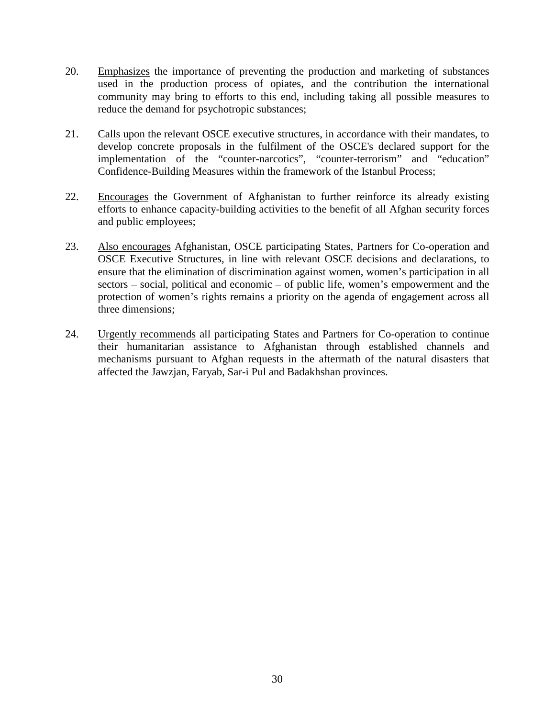- 20. Emphasizes the importance of preventing the production and marketing of substances used in the production process of opiates, and the contribution the international community may bring to efforts to this end, including taking all possible measures to reduce the demand for psychotropic substances;
- 21. Calls upon the relevant OSCE executive structures, in accordance with their mandates, to develop concrete proposals in the fulfilment of the OSCE's declared support for the implementation of the "counter-narcotics", "counter-terrorism" and "education" Confidence-Building Measures within the framework of the Istanbul Process;
- 22. Encourages the Government of Afghanistan to further reinforce its already existing efforts to enhance capacity-building activities to the benefit of all Afghan security forces and public employees;
- 23. Also encourages Afghanistan, OSCE participating States, Partners for Co-operation and OSCE Executive Structures, in line with relevant OSCE decisions and declarations, to ensure that the elimination of discrimination against women, women's participation in all sectors – social, political and economic – of public life, women's empowerment and the protection of women's rights remains a priority on the agenda of engagement across all three dimensions;
- 24. Urgently recommends all participating States and Partners for Co-operation to continue their humanitarian assistance to Afghanistan through established channels and mechanisms pursuant to Afghan requests in the aftermath of the natural disasters that affected the Jawzjan, Faryab, Sar-i Pul and Badakhshan provinces.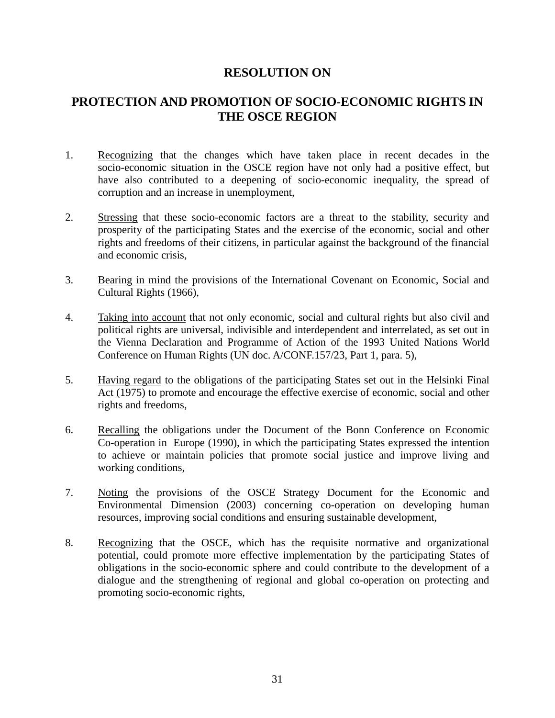#### **PROTECTION AND PROMOTION OF SOCIO-ECONOMIC RIGHTS IN THE OSCE REGION**

- 1. Recognizing that the changes which have taken place in recent decades in the socio-economic situation in the OSCE region have not only had a positive effect, but have also contributed to a deepening of socio-economic inequality, the spread of corruption and an increase in unemployment,
- 2. Stressing that these socio-economic factors are a threat to the stability, security and prosperity of the participating States and the exercise of the economic, social and other rights and freedoms of their citizens, in particular against the background of the financial and economic crisis,
- 3. Bearing in mind the provisions of the International Covenant on Economic, Social and Cultural Rights (1966),
- 4. Taking into account that not only economic, social and cultural rights but also civil and political rights are universal, indivisible and interdependent and interrelated, as set out in the Vienna Declaration and Programme of Action of the 1993 United Nations World Conference on Human Rights (UN doc. A/CONF.157/23, Part 1, para. 5),
- 5. Having regard to the obligations of the participating States set out in the Helsinki Final Act (1975) to promote and encourage the effective exercise of economic, social and other rights and freedoms,
- 6. Recalling the obligations under the Document of the Bonn Conference on Economic Co-operation in Europe (1990), in which the participating States expressed the intention to achieve or maintain policies that promote social justice and improve living and working conditions,
- 7. Noting the provisions of the OSCE Strategy Document for the Economic and Environmental Dimension (2003) concerning co-operation on developing human resources, improving social conditions and ensuring sustainable development,
- 8. Recognizing that the OSCE, which has the requisite normative and organizational potential, could promote more effective implementation by the participating States of obligations in the socio-economic sphere and could contribute to the development of a dialogue and the strengthening of regional and global co-operation on protecting and promoting socio-economic rights,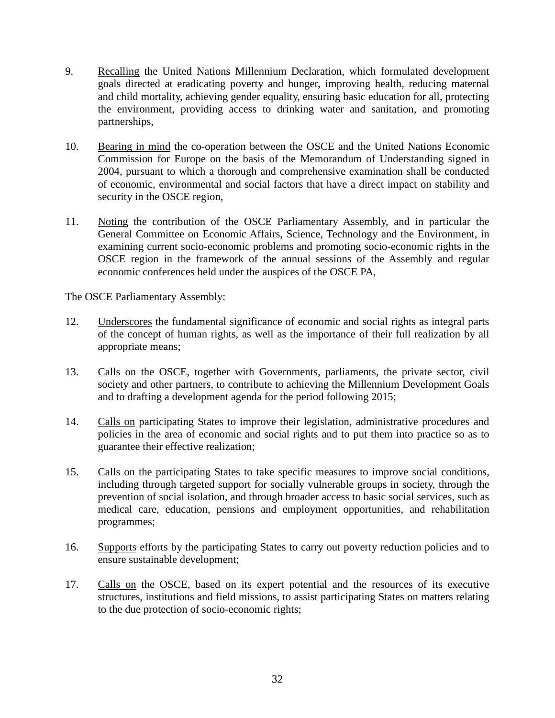- 9. Recalling the United Nations Millennium Declaration, which formulated development goals directed at eradicating poverty and hunger, improving health, reducing maternal and child mortality, achieving gender equality, ensuring basic education for all, protecting the environment, providing access to drinking water and sanitation, and promoting partnerships,
- 10. Bearing in mind the co-operation between the OSCE and the United Nations Economic Commission for Europe on the basis of the Memorandum of Understanding signed in 2004, pursuant to which a thorough and comprehensive examination shall be conducted of economic, environmental and social factors that have a direct impact on stability and security in the OSCE region,
- 11. Noting the contribution of the OSCE Parliamentary Assembly, and in particular the General Committee on Economic Affairs, Science, Technology and the Environment, in examining current socio-economic problems and promoting socio-economic rights in the OSCE region in the framework of the annual sessions of the Assembly and regular economic conferences held under the auspices of the OSCE PA,

- 12. Underscores the fundamental significance of economic and social rights as integral parts of the concept of human rights, as well as the importance of their full realization by all appropriate means;
- 13. Calls on the OSCE, together with Governments, parliaments, the private sector, civil society and other partners, to contribute to achieving the Millennium Development Goals and to drafting a development agenda for the period following 2015;
- 14. Calls on participating States to improve their legislation, administrative procedures and policies in the area of economic and social rights and to put them into practice so as to guarantee their effective realization;
- 15. Calls on the participating States to take specific measures to improve social conditions, including through targeted support for socially vulnerable groups in society, through the prevention of social isolation, and through broader access to basic social services, such as medical care, education, pensions and employment opportunities, and rehabilitation programmes;
- 16. Supports efforts by the participating States to carry out poverty reduction policies and to ensure sustainable development;
- 17. Calls on the OSCE, based on its expert potential and the resources of its executive structures, institutions and field missions, to assist participating States on matters relating to the due protection of socio-economic rights;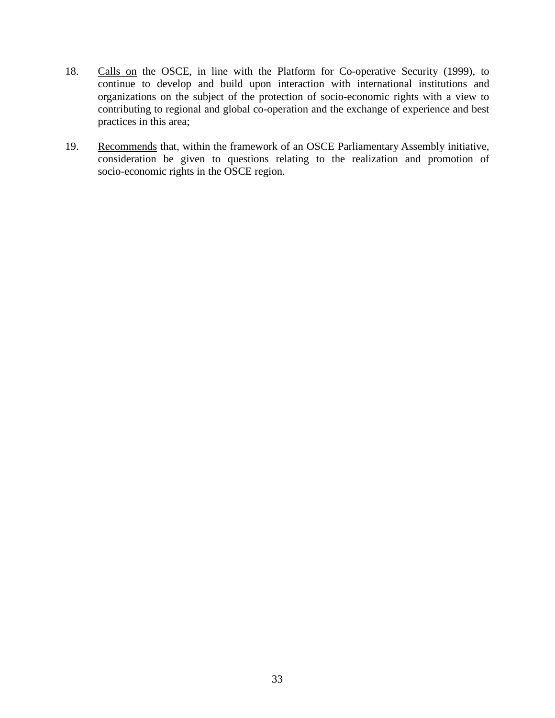- 18. Calls on the OSCE, in line with the Platform for Co-operative Security (1999), to continue to develop and build upon interaction with international institutions and organizations on the subject of the protection of socio-economic rights with a view to contributing to regional and global co-operation and the exchange of experience and best practices in this area;
- 19. Recommends that, within the framework of an OSCE Parliamentary Assembly initiative, consideration be given to questions relating to the realization and promotion of socio-economic rights in the OSCE region.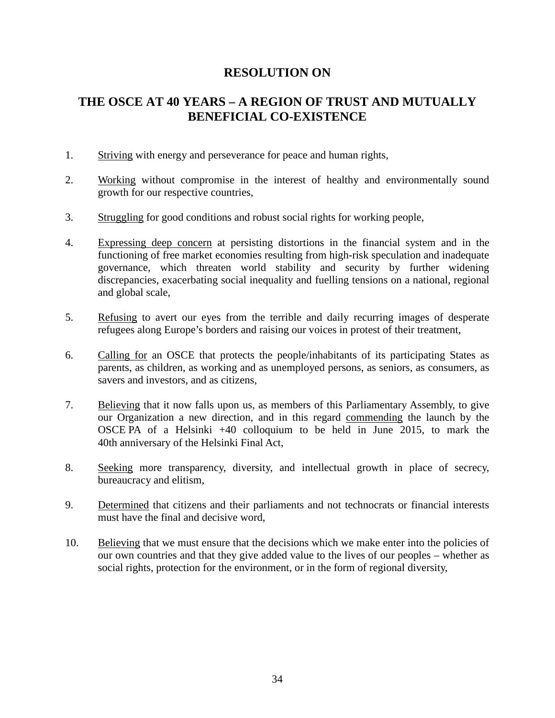#### **THE OSCE AT 40 YEARS – A REGION OF TRUST AND MUTUALLY BENEFICIAL CO-EXISTENCE**

- 1. Striving with energy and perseverance for peace and human rights,
- 2. Working without compromise in the interest of healthy and environmentally sound growth for our respective countries,
- 3. Struggling for good conditions and robust social rights for working people,
- 4. Expressing deep concern at persisting distortions in the financial system and in the functioning of free market economies resulting from high-risk speculation and inadequate governance, which threaten world stability and security by further widening discrepancies, exacerbating social inequality and fuelling tensions on a national, regional and global scale,
- 5. Refusing to avert our eyes from the terrible and daily recurring images of desperate refugees along Europe's borders and raising our voices in protest of their treatment,
- 6. Calling for an OSCE that protects the people/inhabitants of its participating States as parents, as children, as working and as unemployed persons, as seniors, as consumers, as savers and investors, and as citizens,
- 7. Believing that it now falls upon us, as members of this Parliamentary Assembly, to give our Organization a new direction, and in this regard commending the launch by the OSCE PA of a Helsinki +40 colloquium to be held in June 2015, to mark the 40th anniversary of the Helsinki Final Act,
- 8. Seeking more transparency, diversity, and intellectual growth in place of secrecy, bureaucracy and elitism,
- 9. Determined that citizens and their parliaments and not technocrats or financial interests must have the final and decisive word,
- 10. Believing that we must ensure that the decisions which we make enter into the policies of our own countries and that they give added value to the lives of our peoples – whether as social rights, protection for the environment, or in the form of regional diversity,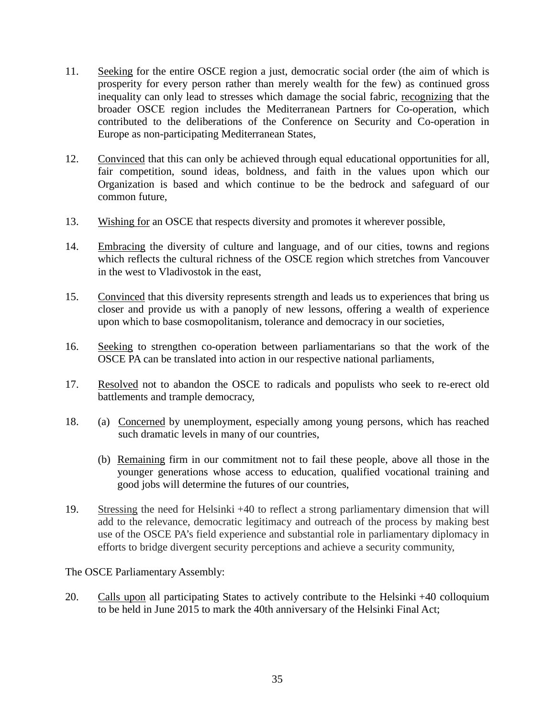- 11. Seeking for the entire OSCE region a just, democratic social order (the aim of which is prosperity for every person rather than merely wealth for the few) as continued gross inequality can only lead to stresses which damage the social fabric, recognizing that the broader OSСE region includes the Mediterranean Partners for Co-operation, which contributed to the deliberations of the Conference on Security and Co-operation in Europe as non-participating Mediterranean States,
- 12. Convinced that this can only be achieved through equal educational opportunities for all, fair competition, sound ideas, boldness, and faith in the values upon which our Organization is based and which continue to be the bedrock and safeguard of our common future,
- 13. Wishing for an OSCE that respects diversity and promotes it wherever possible,
- 14. Embracing the diversity of culture and language, and of our cities, towns and regions which reflects the cultural richness of the OSCE region which stretches from Vancouver in the west to Vladivostok in the east,
- 15. Convinced that this diversity represents strength and leads us to experiences that bring us closer and provide us with a panoply of new lessons, offering a wealth of experience upon which to base cosmopolitanism, tolerance and democracy in our societies,
- 16. Seeking to strengthen co-operation between parliamentarians so that the work of the OSCE PA can be translated into action in our respective national parliaments,
- 17. Resolved not to abandon the OSCE to radicals and populists who seek to re-erect old battlements and trample democracy,
- 18. (a) Concerned by unemployment, especially among young persons, which has reached such dramatic levels in many of our countries,
	- (b) Remaining firm in our commitment not to fail these people, above all those in the younger generations whose access to education, qualified vocational training and good jobs will determine the futures of our countries,
- 19. Stressing the need for Helsinki +40 to reflect a strong parliamentary dimension that will add to the relevance, democratic legitimacy and outreach of the process by making best use of the OSCE PA's field experience and substantial role in parliamentary diplomacy in efforts to bridge divergent security perceptions and achieve a security community,

20. Calls upon all participating States to actively contribute to the Helsinki +40 colloquium to be held in June 2015 to mark the 40th anniversary of the Helsinki Final Act;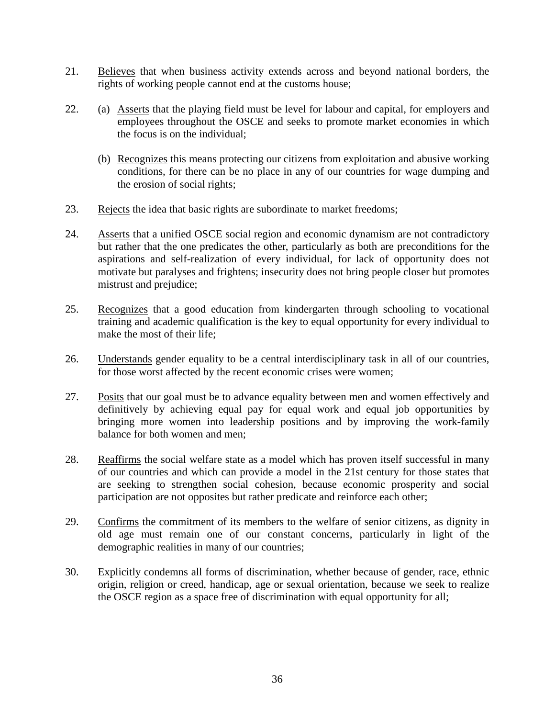- 21. Believes that when business activity extends across and beyond national borders, the rights of working people cannot end at the customs house;
- 22. (a) Asserts that the playing field must be level for labour and capital, for employers and employees throughout the OSCE and seeks to promote market economies in which the focus is on the individual;
	- (b) Recognizes this means protecting our citizens from exploitation and abusive working conditions, for there can be no place in any of our countries for wage dumping and the erosion of social rights;
- 23. Rejects the idea that basic rights are subordinate to market freedoms;
- 24. Asserts that a unified OSCE social region and economic dynamism are not contradictory but rather that the one predicates the other, particularly as both are preconditions for the aspirations and self-realization of every individual, for lack of opportunity does not motivate but paralyses and frightens; insecurity does not bring people closer but promotes mistrust and prejudice;
- 25. Recognizes that a good education from kindergarten through schooling to vocational training and academic qualification is the key to equal opportunity for every individual to make the most of their life;
- 26. Understands gender equality to be a central interdisciplinary task in all of our countries, for those worst affected by the recent economic crises were women;
- 27. Posits that our goal must be to advance equality between men and women effectively and definitively by achieving equal pay for equal work and equal job opportunities by bringing more women into leadership positions and by improving the work-family balance for both women and men;
- 28. Reaffirms the social welfare state as a model which has proven itself successful in many of our countries and which can provide a model in the 21st century for those states that are seeking to strengthen social cohesion, because economic prosperity and social participation are not opposites but rather predicate and reinforce each other;
- 29. Confirms the commitment of its members to the welfare of senior citizens, as dignity in old age must remain one of our constant concerns, particularly in light of the demographic realities in many of our countries;
- 30. Explicitly condemns all forms of discrimination, whether because of gender, race, ethnic origin, religion or creed, handicap, age or sexual orientation, because we seek to realize the OSCE region as a space free of discrimination with equal opportunity for all;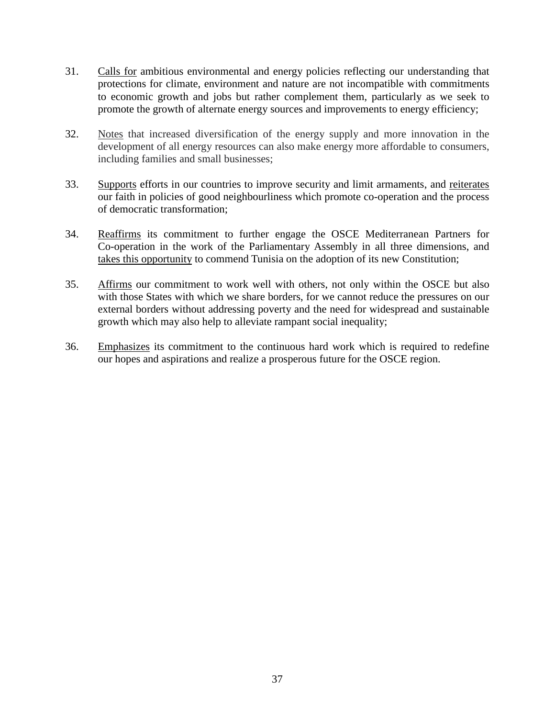- 31. Calls for ambitious environmental and energy policies reflecting our understanding that protections for climate, environment and nature are not incompatible with commitments to economic growth and jobs but rather complement them, particularly as we seek to promote the growth of alternate energy sources and improvements to energy efficiency;
- 32. Notes that increased diversification of the energy supply and more innovation in the development of all energy resources can also make energy more affordable to consumers, including families and small businesses;
- 33. Supports efforts in our countries to improve security and limit armaments, and reiterates our faith in policies of good neighbourliness which promote co-operation and the process of democratic transformation;
- 34. Reaffirms its commitment to further engage the OSCE Mediterranean Partners for Co-operation in the work of the Parliamentary Assembly in all three dimensions, and takes this opportunity to commend Tunisia on the adoption of its new Constitution;
- 35. Affirms our commitment to work well with others, not only within the OSCE but also with those States with which we share borders, for we cannot reduce the pressures on our external borders without addressing poverty and the need for widespread and sustainable growth which may also help to alleviate rampant social inequality;
- 36. Emphasizes its commitment to the continuous hard work which is required to redefine our hopes and aspirations and realize a prosperous future for the OSCE region.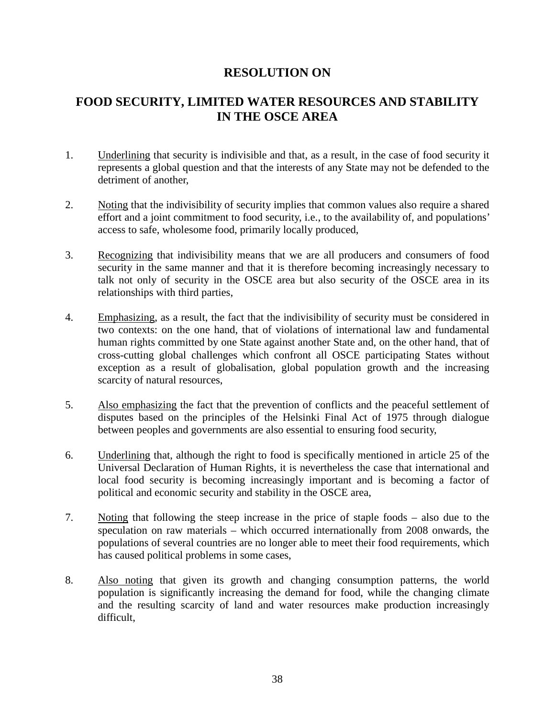#### **FOOD SECURITY, LIMITED WATER RESOURCES AND STABILITY IN THE OSCE AREA**

- 1. Underlining that security is indivisible and that, as a result, in the case of food security it represents a global question and that the interests of any State may not be defended to the detriment of another,
- 2. Noting that the indivisibility of security implies that common values also require a shared effort and a joint commitment to food security, i.e., to the availability of, and populations' access to safe, wholesome food, primarily locally produced,
- 3. Recognizing that indivisibility means that we are all producers and consumers of food security in the same manner and that it is therefore becoming increasingly necessary to talk not only of security in the OSCE area but also security of the OSCE area in its relationships with third parties,
- 4. Emphasizing, as a result, the fact that the indivisibility of security must be considered in two contexts: on the one hand, that of violations of international law and fundamental human rights committed by one State against another State and, on the other hand, that of cross-cutting global challenges which confront all OSCE participating States without exception as a result of globalisation, global population growth and the increasing scarcity of natural resources,
- 5. Also emphasizing the fact that the prevention of conflicts and the peaceful settlement of disputes based on the principles of the Helsinki Final Act of 1975 through dialogue between peoples and governments are also essential to ensuring food security,
- 6. Underlining that, although the right to food is specifically mentioned in article 25 of the Universal Declaration of Human Rights, it is nevertheless the case that international and local food security is becoming increasingly important and is becoming a factor of political and economic security and stability in the OSCE area,
- 7. Noting that following the steep increase in the price of staple foods also due to the speculation on raw materials – which occurred internationally from 2008 onwards, the populations of several countries are no longer able to meet their food requirements, which has caused political problems in some cases,
- 8. Also noting that given its growth and changing consumption patterns, the world population is significantly increasing the demand for food, while the changing climate and the resulting scarcity of land and water resources make production increasingly difficult,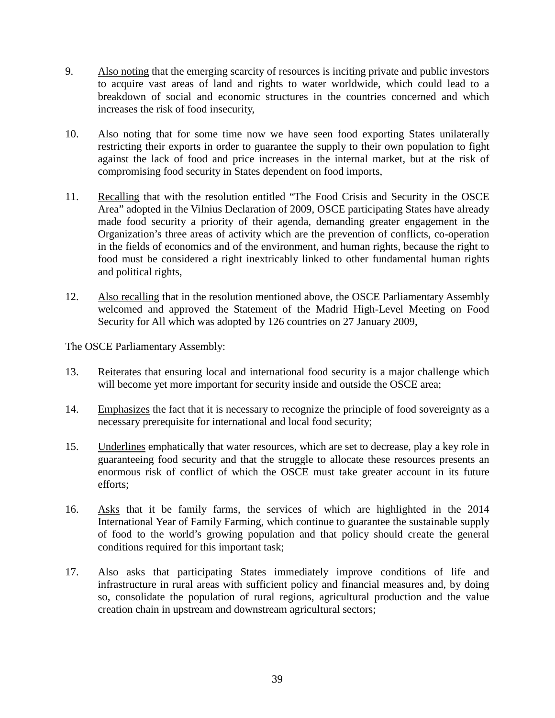- 9. Also noting that the emerging scarcity of resources is inciting private and public investors to acquire vast areas of land and rights to water worldwide, which could lead to a breakdown of social and economic structures in the countries concerned and which increases the risk of food insecurity,
- 10. Also noting that for some time now we have seen food exporting States unilaterally restricting their exports in order to guarantee the supply to their own population to fight against the lack of food and price increases in the internal market, but at the risk of compromising food security in States dependent on food imports,
- 11. Recalling that with the resolution entitled "The Food Crisis and Security in the OSCE Area" adopted in the Vilnius Declaration of 2009, OSCE participating States have already made food security a priority of their agenda, demanding greater engagement in the Organization's three areas of activity which are the prevention of conflicts, co-operation in the fields of economics and of the environment, and human rights, because the right to food must be considered a right inextricably linked to other fundamental human rights and political rights,
- 12. Also recalling that in the resolution mentioned above, the OSCE Parliamentary Assembly welcomed and approved the Statement of the Madrid High-Level Meeting on Food Security for All which was adopted by 126 countries on 27 January 2009,

- 13. Reiterates that ensuring local and international food security is a major challenge which will become yet more important for security inside and outside the OSCE area;
- 14. Emphasizes the fact that it is necessary to recognize the principle of food sovereignty as a necessary prerequisite for international and local food security;
- 15. Underlines emphatically that water resources, which are set to decrease, play a key role in guaranteeing food security and that the struggle to allocate these resources presents an enormous risk of conflict of which the OSCE must take greater account in its future efforts;
- 16. Asks that it be family farms, the services of which are highlighted in the 2014 International Year of Family Farming, which continue to guarantee the sustainable supply of food to the world's growing population and that policy should create the general conditions required for this important task;
- 17. Also asks that participating States immediately improve conditions of life and infrastructure in rural areas with sufficient policy and financial measures and, by doing so, consolidate the population of rural regions, agricultural production and the value creation chain in upstream and downstream agricultural sectors;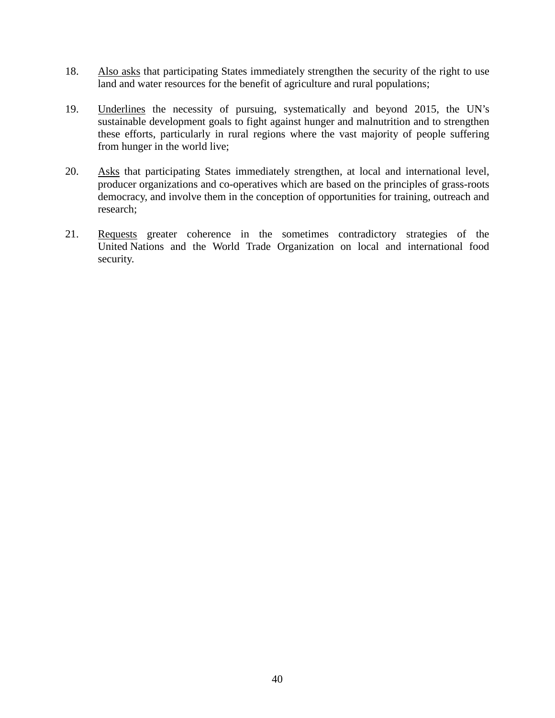- 18. Also asks that participating States immediately strengthen the security of the right to use land and water resources for the benefit of agriculture and rural populations;
- 19. Underlines the necessity of pursuing, systematically and beyond 2015, the UN's sustainable development goals to fight against hunger and malnutrition and to strengthen these efforts, particularly in rural regions where the vast majority of people suffering from hunger in the world live;
- 20. Asks that participating States immediately strengthen, at local and international level, producer organizations and co-operatives which are based on the principles of grass-roots democracy, and involve them in the conception of opportunities for training, outreach and research;
- 21. Requests greater coherence in the sometimes contradictory strategies of the United Nations and the World Trade Organization on local and international food security.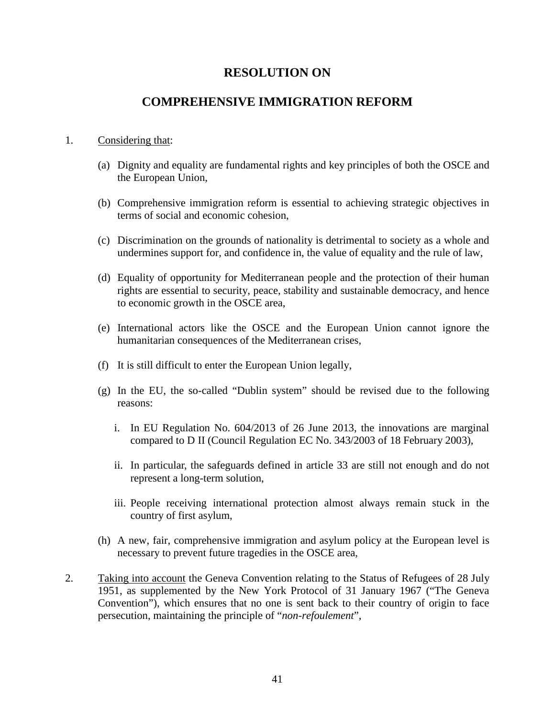#### **COMPREHENSIVE IMMIGRATION REFORM**

#### 1. Considering that:

- (a) Dignity and equality are fundamental rights and key principles of both the OSCE and the European Union,
- (b) Comprehensive immigration reform is essential to achieving strategic objectives in terms of social and economic cohesion,
- (c) Discrimination on the grounds of nationality is detrimental to society as a whole and undermines support for, and confidence in, the value of equality and the rule of law,
- (d) Equality of opportunity for Mediterranean people and the protection of their human rights are essential to security, peace, stability and sustainable democracy, and hence to economic growth in the OSCE area,
- (e) International actors like the OSCE and the European Union cannot ignore the humanitarian consequences of the Mediterranean crises,
- (f) It is still difficult to enter the European Union legally,
- (g) In the EU, the so-called "Dublin system" should be revised due to the following reasons:
	- i. In EU Regulation No. 604/2013 of 26 June 2013, the innovations are marginal compared to D II (Council Regulation EC No. 343/2003 of 18 February 2003),
	- ii. In particular, the safeguards defined in article 33 are still not enough and do not represent a long-term solution,
	- iii. People receiving international protection almost always remain stuck in the country of first asylum,
- (h) A new, fair, comprehensive immigration and asylum policy at the European level is necessary to prevent future tragedies in the OSCE area,
- 2. Taking into account the Geneva Convention relating to the Status of Refugees of 28 July 1951, as supplemented by the New York Protocol of 31 January 1967 ("The Geneva Convention"), which ensures that no one is sent back to their country of origin to face persecution, maintaining the principle of "*non-refoulement*",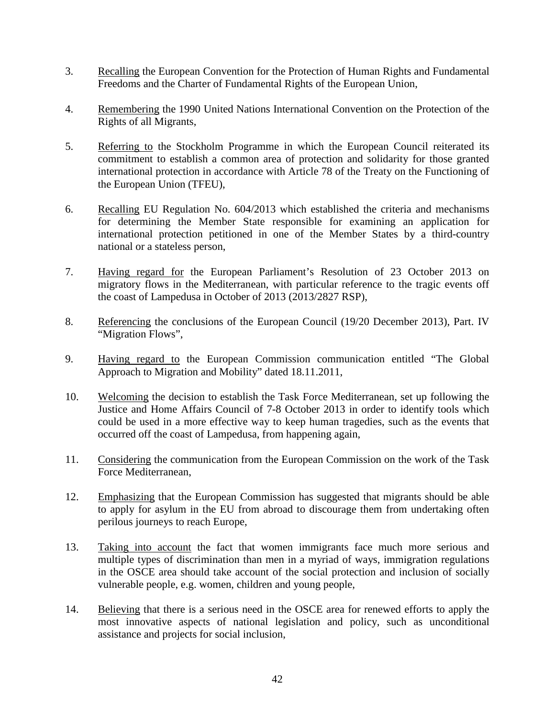- 3. Recalling the European Convention for the Protection of Human Rights and Fundamental Freedoms and the Charter of Fundamental Rights of the European Union,
- 4. Remembering the 1990 United Nations International Convention on the Protection of the Rights of all Migrants,
- 5. Referring to the Stockholm Programme in which the European Council reiterated its commitment to establish a common area of protection and solidarity for those granted international protection in accordance with Article 78 of the Treaty on the Functioning of the European Union (TFEU),
- 6. Recalling EU Regulation No. 604/2013 which established the criteria and mechanisms for determining the Member State responsible for examining an application for international protection petitioned in one of the Member States by a third-country national or a stateless person,
- 7. Having regard for the European Parliament's Resolution of 23 October 2013 on migratory flows in the Mediterranean, with particular reference to the tragic events off the coast of Lampedusa in October of 2013 (2013/2827 RSP),
- 8. Referencing the conclusions of the European Council (19/20 December 2013), Part. IV "Migration Flows",
- 9. Having regard to the European Commission communication entitled "The Global Approach to Migration and Mobility" dated 18.11.2011,
- 10. Welcoming the decision to establish the Task Force Mediterranean, set up following the Justice and Home Affairs Council of 7-8 October 2013 in order to identify tools which could be used in a more effective way to keep human tragedies, such as the events that occurred off the coast of Lampedusa, from happening again,
- 11. Considering the communication from the European Commission on the work of the Task Force Mediterranean,
- 12. Emphasizing that the European Commission has suggested that migrants should be able to apply for asylum in the EU from abroad to discourage them from undertaking often perilous journeys to reach Europe,
- 13. Taking into account the fact that women immigrants face much more serious and multiple types of discrimination than men in a myriad of ways, immigration regulations in the OSCE area should take account of the social protection and inclusion of socially vulnerable people, e.g. women, children and young people,
- 14. Believing that there is a serious need in the OSCE area for renewed efforts to apply the most innovative aspects of national legislation and policy, such as unconditional assistance and projects for social inclusion,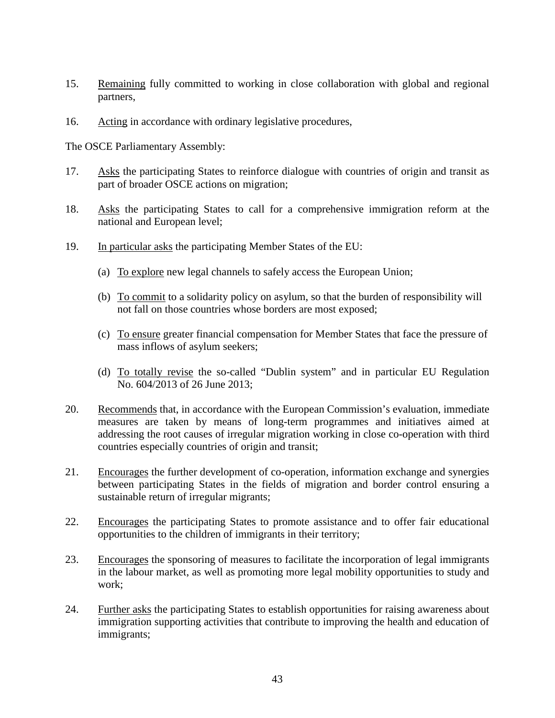- 15. Remaining fully committed to working in close collaboration with global and regional partners,
- 16. Acting in accordance with ordinary legislative procedures,

- 17. Asks the participating States to reinforce dialogue with countries of origin and transit as part of broader OSCE actions on migration;
- 18. Asks the participating States to call for a comprehensive immigration reform at the national and European level;
- 19. In particular asks the participating Member States of the EU:
	- (a) To explore new legal channels to safely access the European Union;
	- (b) To commit to a solidarity policy on asylum, so that the burden of responsibility will not fall on those countries whose borders are most exposed;
	- (c) To ensure greater financial compensation for Member States that face the pressure of mass inflows of asylum seekers;
	- (d) To totally revise the so-called "Dublin system" and in particular EU Regulation No. 604/2013 of 26 June 2013;
- 20. Recommends that, in accordance with the European Commission's evaluation, immediate measures are taken by means of long-term programmes and initiatives aimed at addressing the root causes of irregular migration working in close co-operation with third countries especially countries of origin and transit;
- 21. Encourages the further development of co-operation, information exchange and synergies between participating States in the fields of migration and border control ensuring a sustainable return of irregular migrants;
- 22. Encourages the participating States to promote assistance and to offer fair educational opportunities to the children of immigrants in their territory;
- 23. Encourages the sponsoring of measures to facilitate the incorporation of legal immigrants in the labour market, as well as promoting more legal mobility opportunities to study and work;
- 24. Further asks the participating States to establish opportunities for raising awareness about immigration supporting activities that contribute to improving the health and education of immigrants;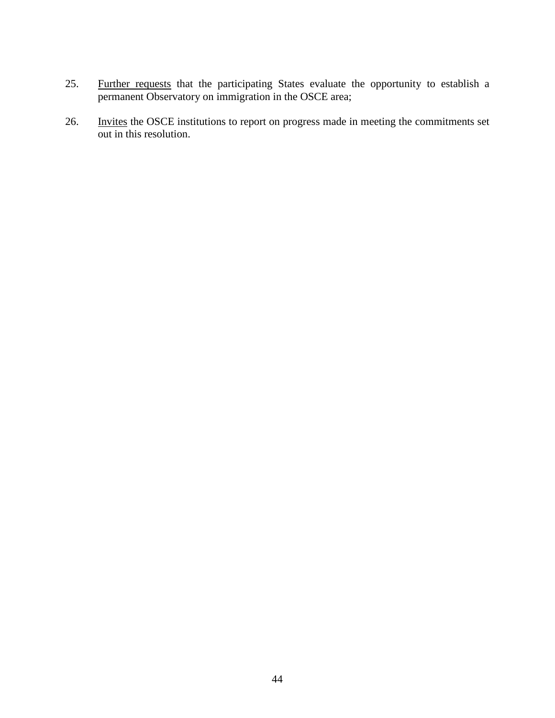- 25. Further requests that the participating States evaluate the opportunity to establish a permanent Observatory on immigration in the OSCE area;
- 26. Invites the OSCE institutions to report on progress made in meeting the commitments set out in this resolution.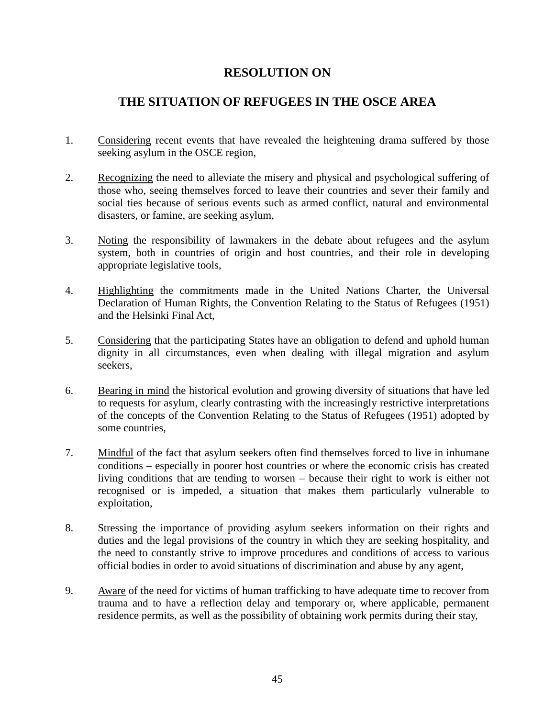#### **THE SITUATION OF REFUGEES IN THE OSCE AREA**

- 1. Considering recent events that have revealed the heightening drama suffered by those seeking asylum in the OSCE region,
- 2. Recognizing the need to alleviate the misery and physical and psychological suffering of those who, seeing themselves forced to leave their countries and sever their family and social ties because of serious events such as armed conflict, natural and environmental disasters, or famine, are seeking asylum,
- 3. Noting the responsibility of lawmakers in the debate about refugees and the asylum system, both in countries of origin and host countries, and their role in developing appropriate legislative tools,
- 4. Highlighting the commitments made in the United Nations Charter, the Universal Declaration of Human Rights, the Convention Relating to the Status of Refugees (1951) and the Helsinki Final Act,
- 5. Considering that the participating States have an obligation to defend and uphold human dignity in all circumstances, even when dealing with illegal migration and asylum seekers,
- 6. Bearing in mind the historical evolution and growing diversity of situations that have led to requests for asylum, clearly contrasting with the increasingly restrictive interpretations of the concepts of the Convention Relating to the Status of Refugees (1951) adopted by some countries,
- 7. Mindful of the fact that asylum seekers often find themselves forced to live in inhumane conditions – especially in poorer host countries or where the economic crisis has created living conditions that are tending to worsen – because their right to work is either not recognised or is impeded, a situation that makes them particularly vulnerable to exploitation,
- 8. Stressing the importance of providing asylum seekers information on their rights and duties and the legal provisions of the country in which they are seeking hospitality, and the need to constantly strive to improve procedures and conditions of access to various official bodies in order to avoid situations of discrimination and abuse by any agent,
- 9. Aware of the need for victims of human trafficking to have adequate time to recover from trauma and to have a reflection delay and temporary or, where applicable, permanent residence permits, as well as the possibility of obtaining work permits during their stay,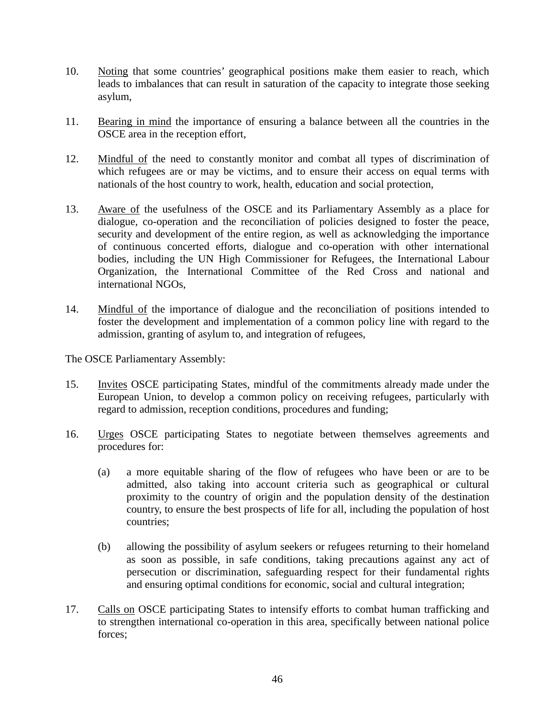- 10. Noting that some countries' geographical positions make them easier to reach, which leads to imbalances that can result in saturation of the capacity to integrate those seeking asylum,
- 11. Bearing in mind the importance of ensuring a balance between all the countries in the OSCE area in the reception effort,
- 12. Mindful of the need to constantly monitor and combat all types of discrimination of which refugees are or may be victims, and to ensure their access on equal terms with nationals of the host country to work, health, education and social protection,
- 13. Aware of the usefulness of the OSCE and its Parliamentary Assembly as a place for dialogue, co-operation and the reconciliation of policies designed to foster the peace, security and development of the entire region, as well as acknowledging the importance of continuous concerted efforts, dialogue and co-operation with other international bodies, including the UN High Commissioner for Refugees, the International Labour Organization, the International Committee of the Red Cross and national and international NGOs,
- 14. Mindful of the importance of dialogue and the reconciliation of positions intended to foster the development and implementation of a common policy line with regard to the admission, granting of asylum to, and integration of refugees,

- 15. Invites OSCE participating States, mindful of the commitments already made under the European Union, to develop a common policy on receiving refugees, particularly with regard to admission, reception conditions, procedures and funding;
- 16. Urges OSCE participating States to negotiate between themselves agreements and procedures for:
	- (a) a more equitable sharing of the flow of refugees who have been or are to be admitted, also taking into account criteria such as geographical or cultural proximity to the country of origin and the population density of the destination country, to ensure the best prospects of life for all, including the population of host countries;
	- (b) allowing the possibility of asylum seekers or refugees returning to their homeland as soon as possible, in safe conditions, taking precautions against any act of persecution or discrimination, safeguarding respect for their fundamental rights and ensuring optimal conditions for economic, social and cultural integration;
- 17. Calls on OSCE participating States to intensify efforts to combat human trafficking and to strengthen international co-operation in this area, specifically between national police forces;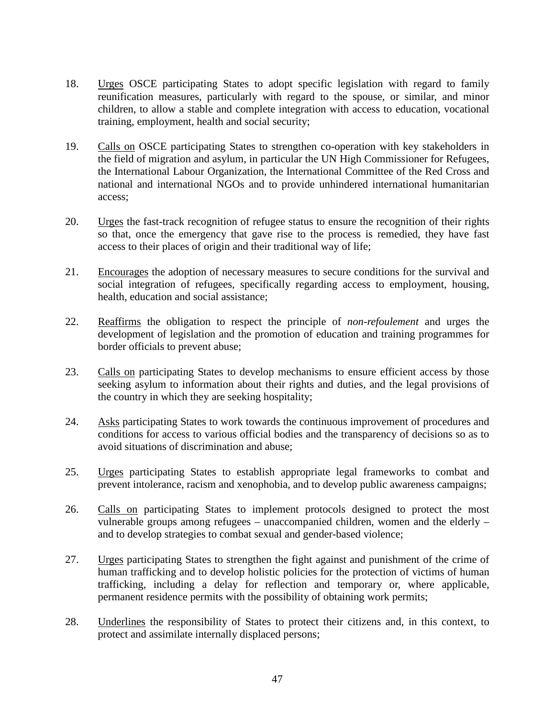- 18. Urges OSCE participating States to adopt specific legislation with regard to family reunification measures, particularly with regard to the spouse, or similar, and minor children, to allow a stable and complete integration with access to education, vocational training, employment, health and social security;
- 19. Calls on OSCE participating States to strengthen co-operation with key stakeholders in the field of migration and asylum, in particular the UN High Commissioner for Refugees, the International Labour Organization, the International Committee of the Red Cross and national and international NGOs and to provide unhindered international humanitarian access;
- 20. Urges the fast-track recognition of refugee status to ensure the recognition of their rights so that, once the emergency that gave rise to the process is remedied, they have fast access to their places of origin and their traditional way of life;
- 21. Encourages the adoption of necessary measures to secure conditions for the survival and social integration of refugees, specifically regarding access to employment, housing, health, education and social assistance;
- 22. Reaffirms the obligation to respect the principle of *non-refoulement* and urges the development of legislation and the promotion of education and training programmes for border officials to prevent abuse;
- 23. Calls on participating States to develop mechanisms to ensure efficient access by those seeking asylum to information about their rights and duties, and the legal provisions of the country in which they are seeking hospitality;
- 24. Asks participating States to work towards the continuous improvement of procedures and conditions for access to various official bodies and the transparency of decisions so as to avoid situations of discrimination and abuse;
- 25. Urges participating States to establish appropriate legal frameworks to combat and prevent intolerance, racism and xenophobia, and to develop public awareness campaigns;
- 26. Calls on participating States to implement protocols designed to protect the most vulnerable groups among refugees – unaccompanied children, women and the elderly – and to develop strategies to combat sexual and gender-based violence;
- 27. Urges participating States to strengthen the fight against and punishment of the crime of human trafficking and to develop holistic policies for the protection of victims of human trafficking, including a delay for reflection and temporary or, where applicable, permanent residence permits with the possibility of obtaining work permits;
- 28. Underlines the responsibility of States to protect their citizens and, in this context, to protect and assimilate internally displaced persons;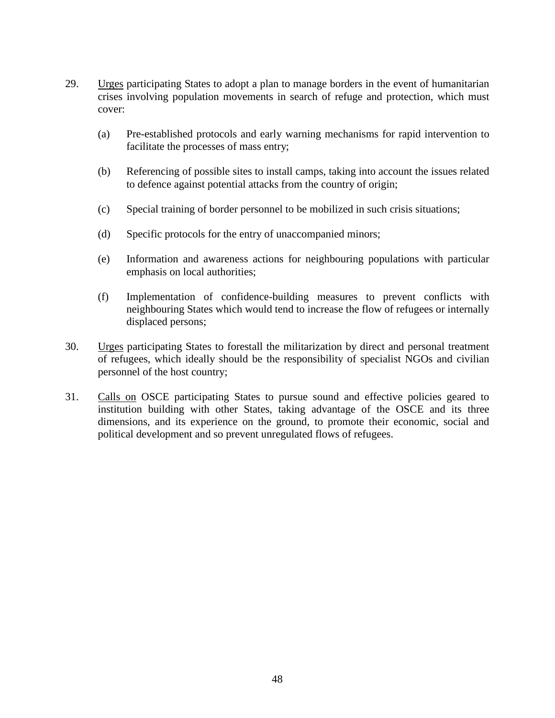- 29. Urges participating States to adopt a plan to manage borders in the event of humanitarian crises involving population movements in search of refuge and protection, which must cover:
	- (a) Pre-established protocols and early warning mechanisms for rapid intervention to facilitate the processes of mass entry;
	- (b) Referencing of possible sites to install camps, taking into account the issues related to defence against potential attacks from the country of origin;
	- (c) Special training of border personnel to be mobilized in such crisis situations;
	- (d) Specific protocols for the entry of unaccompanied minors;
	- (e) Information and awareness actions for neighbouring populations with particular emphasis on local authorities;
	- (f) Implementation of confidence-building measures to prevent conflicts with neighbouring States which would tend to increase the flow of refugees or internally displaced persons;
- 30. Urges participating States to forestall the militarization by direct and personal treatment of refugees, which ideally should be the responsibility of specialist NGOs and civilian personnel of the host country;
- 31. Calls on OSCE participating States to pursue sound and effective policies geared to institution building with other States, taking advantage of the OSCE and its three dimensions, and its experience on the ground, to promote their economic, social and political development and so prevent unregulated flows of refugees.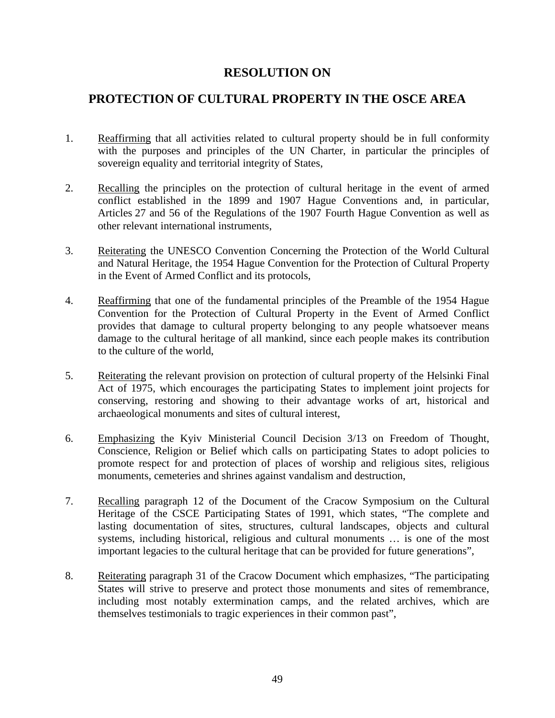#### **PROTECTION OF CULTURAL PROPERTY IN THE OSCE AREA**

- 1. Reaffirming that all activities related to cultural property should be in full conformity with the purposes and principles of the UN Charter, in particular the principles of sovereign equality and territorial integrity of States,
- 2. Recalling the principles on the protection of cultural heritage in the event of armed conflict established in the 1899 and 1907 Hague Conventions and, in particular, Articles 27 and 56 of the Regulations of the 1907 Fourth Hague Convention as well as other relevant international instruments,
- 3. Reiterating the UNESCO Convention Concerning the Protection of the World Cultural and Natural Heritage, the 1954 Hague Convention for the Protection of Cultural Property in the Event of Armed Conflict and its protocols,
- 4. Reaffirming that one of the fundamental principles of the Preamble of the 1954 Hague Convention for the Protection of Cultural Property in the Event of Armed Conflict provides that damage to cultural property belonging to any people whatsoever means damage to the cultural heritage of all mankind, since each people makes its contribution to the culture of the world,
- 5. Reiterating the relevant provision on protection of cultural property of the Helsinki Final Act of 1975, which encourages the participating States to implement joint projects for conserving, restoring and showing to their advantage works of art, historical and archaeological monuments and sites of cultural interest,
- 6. Emphasizing the Kyiv Ministerial Council Decision 3/13 on Freedom of Thought, Conscience, Religion or Belief which calls on participating States to adopt policies to promote respect for and protection of places of worship and religious sites, religious monuments, cemeteries and shrines against vandalism and destruction,
- 7. Recalling paragraph 12 of the Document of the Cracow Symposium on the Cultural Heritage of the CSCE Participating States of 1991, which states, "The complete and lasting documentation of sites, structures, cultural landscapes, objects and cultural systems, including historical, religious and cultural monuments … is one of the most important legacies to the cultural heritage that can be provided for future generations",
- 8. Reiterating paragraph 31 of the Cracow Document which emphasizes, "The participating States will strive to preserve and protect those monuments and sites of remembrance, including most notably extermination camps, and the related archives, which are themselves testimonials to tragic experiences in their common past",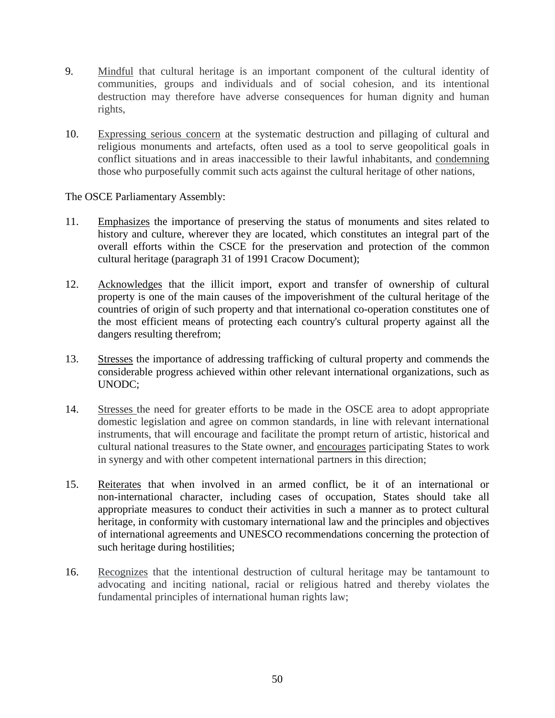- 9. Mindful that cultural heritage is an important component of the cultural identity of communities, groups and individuals and of social cohesion, and its intentional destruction may therefore have adverse consequences for human dignity and human rights,
- 10. Expressing serious concern at the systematic destruction and pillaging of cultural and religious monuments and artefacts, often used as a tool to serve geopolitical goals in conflict situations and in areas inaccessible to their lawful inhabitants, and condemning those who purposefully commit such acts against the cultural heritage of other nations,

- 11. Emphasizes the importance of preserving the status of monuments and sites related to history and culture, wherever they are located, which constitutes an integral part of the overall efforts within the CSCE for the preservation and protection of the common cultural heritage (paragraph 31 of 1991 Cracow Document);
- 12. Acknowledges that the illicit import, export and transfer of ownership of cultural property is one of the main causes of the impoverishment of the cultural heritage of the countries of origin of such property and that international co-operation constitutes one of the most efficient means of protecting each country's cultural property against all the dangers resulting therefrom;
- 13. Stresses the importance of addressing trafficking of cultural property and commends the considerable progress achieved within other relevant international organizations, such as UNODC;
- 14. Stresses the need for greater efforts to be made in the OSCE area to adopt appropriate domestic legislation and agree on common standards, in line with relevant international instruments, that will encourage and facilitate the prompt return of artistic, historical and cultural national treasures to the State owner, and encourages participating States to work in synergy and with other competent international partners in this direction;
- 15. Reiterates that when involved in an armed conflict, be it of an international or non-international character, including cases of occupation, States should take all appropriate measures to conduct their activities in such a manner as to protect cultural heritage, in conformity with customary international law and the principles and objectives of international agreements and UNESCO recommendations concerning the protection of such heritage during hostilities;
- 16. Recognizes that the intentional destruction of cultural heritage may be tantamount to advocating and inciting national, racial or religious hatred and thereby violates the fundamental principles of international human rights law;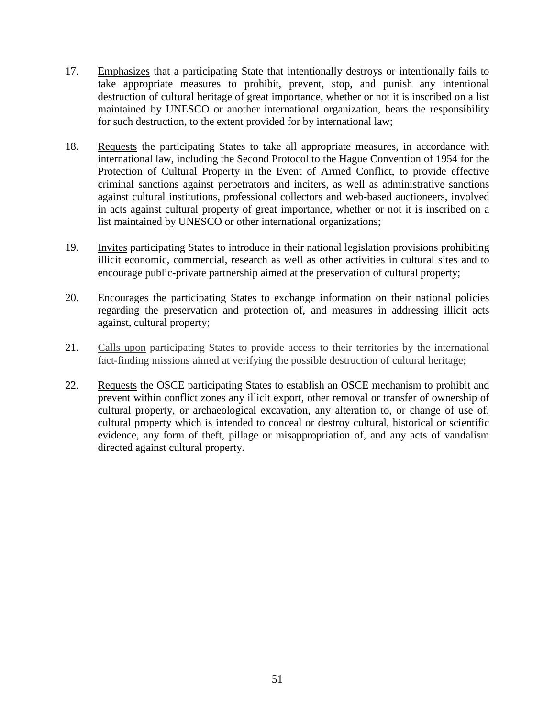- 17. Emphasizes that a participating State that intentionally destroys or intentionally fails to take appropriate measures to prohibit, prevent, stop, and punish any intentional destruction of cultural heritage of great importance, whether or not it is inscribed on a list maintained by UNESCO or another international organization, bears the responsibility for such destruction, to the extent provided for by international law;
- 18. Requests the participating States to take all appropriate measures, in accordance with international law, including the Second Protocol to the Hague Convention of 1954 for the Protection of Cultural Property in the Event of Armed Conflict, to provide effective criminal sanctions against perpetrators and inciters, as well as administrative sanctions against cultural institutions, professional collectors and web-based auctioneers, involved in acts against cultural property of great importance, whether or not it is inscribed on a list maintained by UNESCO or other international organizations;
- 19. Invites participating States to introduce in their national legislation provisions prohibiting illicit economic, commercial, research as well as other activities in cultural sites and to encourage public-private partnership aimed at the preservation of cultural property;
- 20. Encourages the participating States to exchange information on their national policies regarding the preservation and protection of, and measures in addressing illicit acts against, cultural property;
- 21. Calls upon participating States to provide access to their territories by the international fact-finding missions aimed at verifying the possible destruction of cultural heritage;
- 22. Requests the OSCE participating States to establish an OSCE mechanism to prohibit and prevent within conflict zones any illicit export, other removal or transfer of ownership of cultural property, or archaeological excavation, any alteration to, or change of use of, cultural property which is intended to conceal or destroy cultural, historical or scientific evidence, any form of theft, pillage or misappropriation of, and any acts of vandalism directed against cultural property.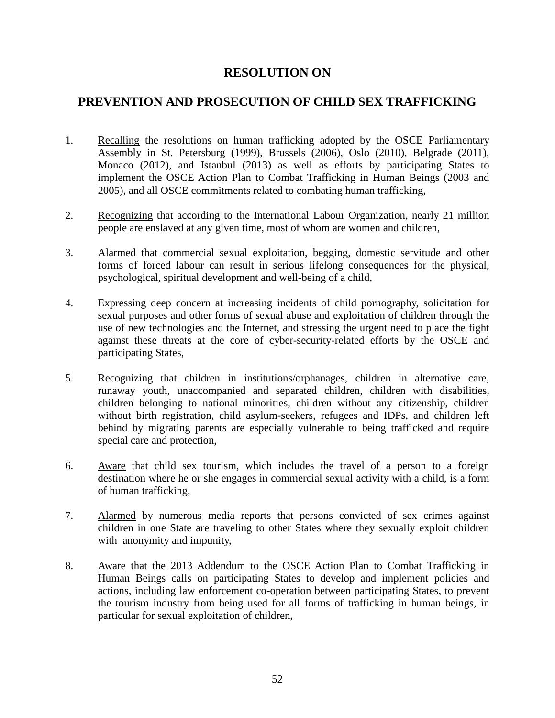#### **PREVENTION AND PROSECUTION OF CHILD SEX TRAFFICKING**

- 1. Recalling the resolutions on human trafficking adopted by the OSCE Parliamentary Assembly in St. Petersburg (1999), Brussels (2006), Oslo (2010), Belgrade (2011), Monaco (2012), and Istanbul (2013) as well as efforts by participating States to implement the OSCE Action Plan to Combat Trafficking in Human Beings (2003 and 2005), and all OSCE commitments related to combating human trafficking,
- 2. Recognizing that according to the International Labour Organization, nearly 21 million people are enslaved at any given time, most of whom are women and children,
- 3. Alarmed that commercial sexual exploitation, begging, domestic servitude and other forms of forced labour can result in serious lifelong consequences for the physical, psychological, spiritual development and well-being of a child,
- 4. Expressing deep concern at increasing incidents of child pornography, solicitation for sexual purposes and other forms of sexual abuse and exploitation of children through the use of new technologies and the Internet, and stressing the urgent need to place the fight against these threats at the core of cyber-security-related efforts by the OSCE and participating States,
- 5. Recognizing that children in institutions/orphanages, children in alternative care, runaway youth, unaccompanied and separated children, children with disabilities, children belonging to national minorities, children without any citizenship, children without birth registration, child asylum-seekers, refugees and IDPs, and children left behind by migrating parents are especially vulnerable to being trafficked and require special care and protection,
- 6. Aware that child sex tourism, which includes the travel of a person to a foreign destination where he or she engages in commercial sexual activity with a child, is a form of human trafficking,
- 7. Alarmed by numerous media reports that persons convicted of sex crimes against children in one State are traveling to other States where they sexually exploit children with anonymity and impunity,
- 8. Aware that the 2013 Addendum to the OSCE Action Plan to Combat Trafficking in Human Beings calls on participating States to develop and implement policies and actions, including law enforcement co-operation between participating States, to prevent the tourism industry from being used for all forms of trafficking in human beings, in particular for sexual exploitation of children,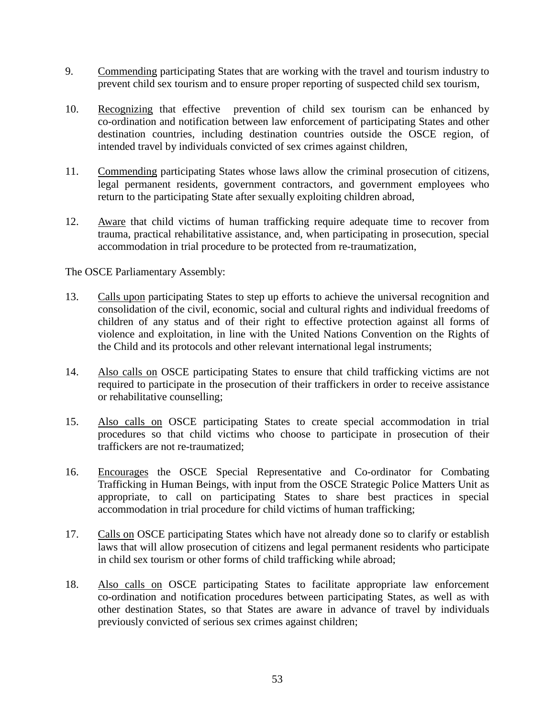- 9. Commending participating States that are working with the travel and tourism industry to prevent child sex tourism and to ensure proper reporting of suspected child sex tourism,
- 10. Recognizing that effective prevention of child sex tourism can be enhanced by co-ordination and notification between law enforcement of participating States and other destination countries, including destination countries outside the OSCE region, of intended travel by individuals convicted of sex crimes against children,
- 11. Commending participating States whose laws allow the criminal prosecution of citizens, legal permanent residents, government contractors, and government employees who return to the participating State after sexually exploiting children abroad,
- 12. Aware that child victims of human trafficking require adequate time to recover from trauma, practical rehabilitative assistance, and, when participating in prosecution, special accommodation in trial procedure to be protected from re-traumatization,

- 13. Calls upon participating States to step up efforts to achieve the universal recognition and consolidation of the civil, economic, social and cultural rights and individual freedoms of children of any status and of their right to effective protection against all forms of violence and exploitation, in line with the United Nations Convention on the Rights of the Child and its protocols and other relevant international legal instruments;
- 14. Also calls on OSCE participating States to ensure that child trafficking victims are not required to participate in the prosecution of their traffickers in order to receive assistance or rehabilitative counselling;
- 15. Also calls on OSCE participating States to create special accommodation in trial procedures so that child victims who choose to participate in prosecution of their traffickers are not re-traumatized;
- 16. Encourages the OSCE Special Representative and Co-ordinator for Combating Trafficking in Human Beings, with input from the OSCE Strategic Police Matters Unit as appropriate, to call on participating States to share best practices in special accommodation in trial procedure for child victims of human trafficking;
- 17. Calls on OSCE participating States which have not already done so to clarify or establish laws that will allow prosecution of citizens and legal permanent residents who participate in child sex tourism or other forms of child trafficking while abroad;
- 18. Also calls on OSCE participating States to facilitate appropriate law enforcement co-ordination and notification procedures between participating States, as well as with other destination States, so that States are aware in advance of travel by individuals previously convicted of serious sex crimes against children;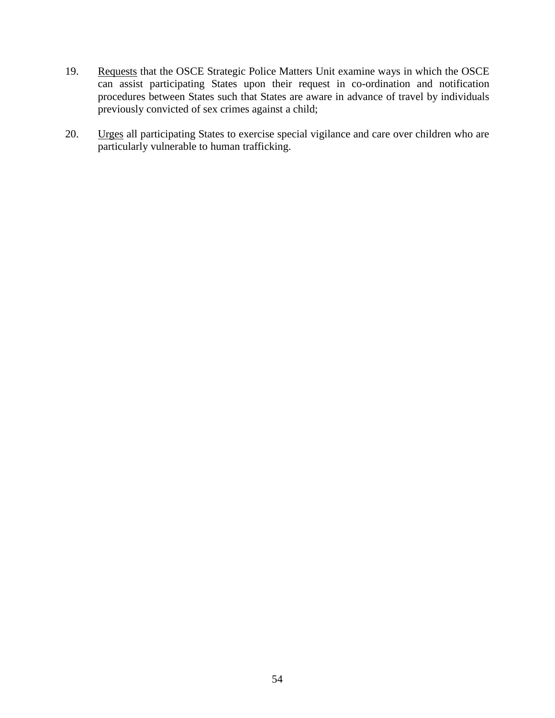- 19. Requests that the OSCE Strategic Police Matters Unit examine ways in which the OSCE can assist participating States upon their request in co-ordination and notification procedures between States such that States are aware in advance of travel by individuals previously convicted of sex crimes against a child;
- 20. Urges all participating States to exercise special vigilance and care over children who are particularly vulnerable to human trafficking.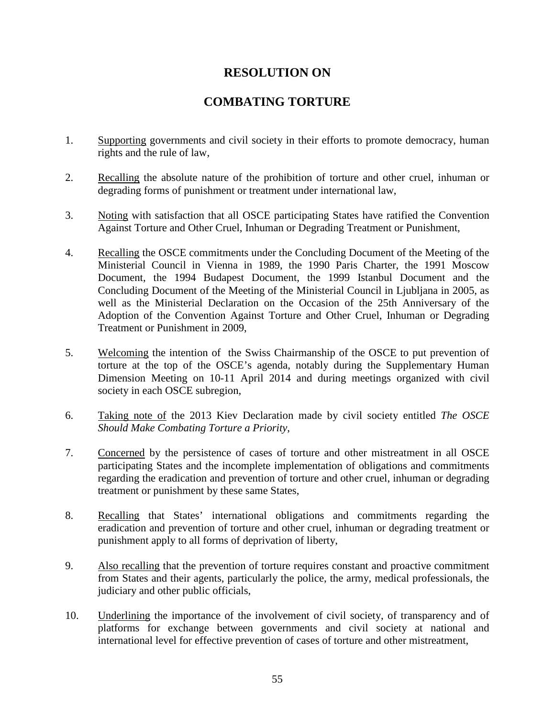#### **COMBATING TORTURE**

- 1. Supporting governments and civil society in their efforts to promote democracy, human rights and the rule of law,
- 2. Recalling the absolute nature of the prohibition of torture and other cruel, inhuman or degrading forms of punishment or treatment under international law,
- 3. Noting with satisfaction that all OSCE participating States have ratified the Convention Against Torture and Other Cruel, Inhuman or Degrading Treatment or Punishment,
- 4. Recalling the OSCE commitments under the Concluding Document of the Meeting of the Ministerial Council in Vienna in 1989, the 1990 Paris Charter, the 1991 Moscow Document, the 1994 Budapest Document, the 1999 Istanbul Document and the Concluding Document of the Meeting of the Ministerial Council in Ljubljana in 2005, as well as the Ministerial Declaration on the Occasion of the 25th Anniversary of the Adoption of the Convention Against Torture and Other Cruel, Inhuman or Degrading Treatment or Punishment in 2009,
- 5. Welcoming the intention of the Swiss Chairmanship of the OSCE to put prevention of torture at the top of the OSCE's agenda, notably during the Supplementary Human Dimension Meeting on 10-11 April 2014 and during meetings organized with civil society in each OSCE subregion,
- 6. Taking note of the 2013 Kiev Declaration made by civil society entitled *The OSCE Should Make Combating Torture a Priority*,
- 7. Concerned by the persistence of cases of torture and other mistreatment in all OSCE participating States and the incomplete implementation of obligations and commitments regarding the eradication and prevention of torture and other cruel, inhuman or degrading treatment or punishment by these same States,
- 8. Recalling that States' international obligations and commitments regarding the eradication and prevention of torture and other cruel, inhuman or degrading treatment or punishment apply to all forms of deprivation of liberty,
- 9. Also recalling that the prevention of torture requires constant and proactive commitment from States and their agents, particularly the police, the army, medical professionals, the judiciary and other public officials,
- 10. Underlining the importance of the involvement of civil society, of transparency and of platforms for exchange between governments and civil society at national and international level for effective prevention of cases of torture and other mistreatment,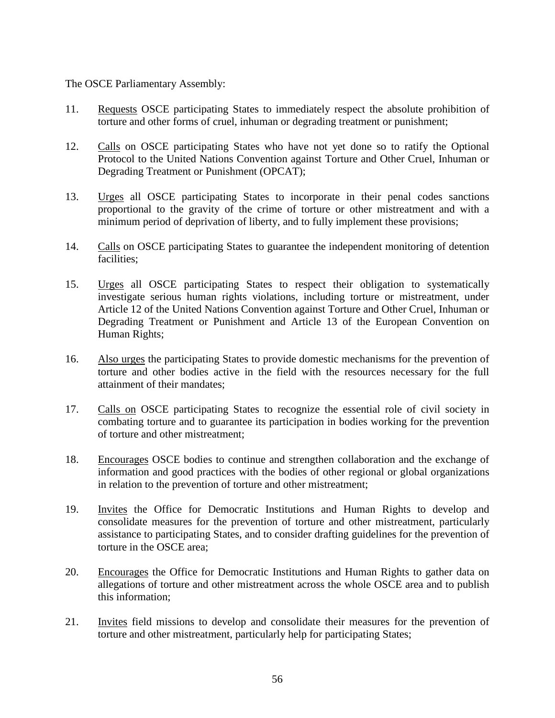- 11. Requests OSCE participating States to immediately respect the absolute prohibition of torture and other forms of cruel, inhuman or degrading treatment or punishment;
- 12. Calls on OSCE participating States who have not yet done so to ratify the Optional Protocol to the United Nations Convention against Torture and Other Cruel, Inhuman or Degrading Treatment or Punishment (OPCAT);
- 13. Urges all OSCE participating States to incorporate in their penal codes sanctions proportional to the gravity of the crime of torture or other mistreatment and with a minimum period of deprivation of liberty, and to fully implement these provisions;
- 14. Calls on OSCE participating States to guarantee the independent monitoring of detention facilities;
- 15. Urges all OSCE participating States to respect their obligation to systematically investigate serious human rights violations, including torture or mistreatment, under Article 12 of the United Nations Convention against Torture and Other Cruel, Inhuman or Degrading Treatment or Punishment and Article 13 of the European Convention on Human Rights;
- 16. Also urges the participating States to provide domestic mechanisms for the prevention of torture and other bodies active in the field with the resources necessary for the full attainment of their mandates;
- 17. Calls on OSCE participating States to recognize the essential role of civil society in combating torture and to guarantee its participation in bodies working for the prevention of torture and other mistreatment;
- 18. Encourages OSCE bodies to continue and strengthen collaboration and the exchange of information and good practices with the bodies of other regional or global organizations in relation to the prevention of torture and other mistreatment;
- 19. Invites the Office for Democratic Institutions and Human Rights to develop and consolidate measures for the prevention of torture and other mistreatment, particularly assistance to participating States, and to consider drafting guidelines for the prevention of torture in the OSCE area;
- 20. Encourages the Office for Democratic Institutions and Human Rights to gather data on allegations of torture and other mistreatment across the whole OSCE area and to publish this information;
- 21. Invites field missions to develop and consolidate their measures for the prevention of torture and other mistreatment, particularly help for participating States;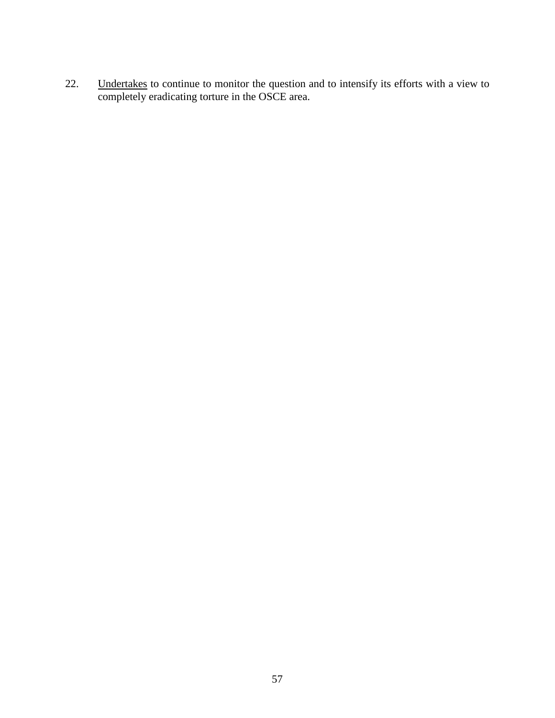22. Undertakes to continue to monitor the question and to intensify its efforts with a view to completely eradicating torture in the OSCE area.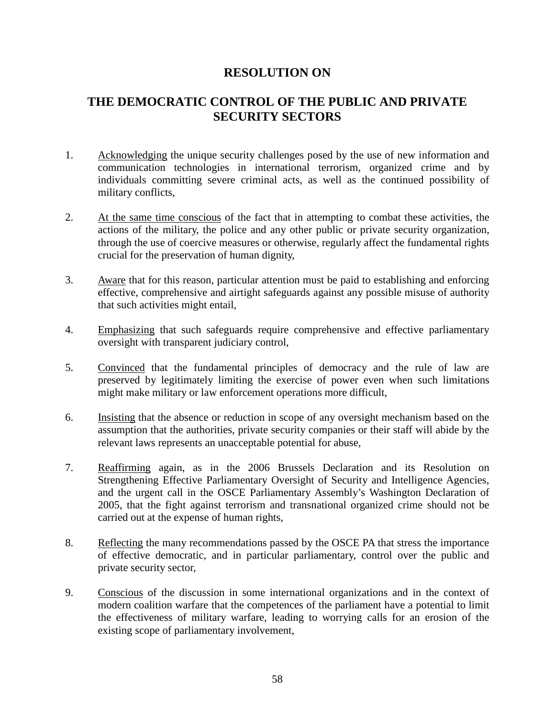#### **THE DEMOCRATIC CONTROL OF THE PUBLIC AND PRIVATE SECURITY SECTORS**

- 1. Acknowledging the unique security challenges posed by the use of new information and communication technologies in international terrorism, organized crime and by individuals committing severe criminal acts, as well as the continued possibility of military conflicts,
- 2. At the same time conscious of the fact that in attempting to combat these activities, the actions of the military, the police and any other public or private security organization, through the use of coercive measures or otherwise, regularly affect the fundamental rights crucial for the preservation of human dignity,
- 3. Aware that for this reason, particular attention must be paid to establishing and enforcing effective, comprehensive and airtight safeguards against any possible misuse of authority that such activities might entail,
- 4. Emphasizing that such safeguards require comprehensive and effective parliamentary oversight with transparent judiciary control,
- 5. Convinced that the fundamental principles of democracy and the rule of law are preserved by legitimately limiting the exercise of power even when such limitations might make military or law enforcement operations more difficult,
- 6. Insisting that the absence or reduction in scope of any oversight mechanism based on the assumption that the authorities, private security companies or their staff will abide by the relevant laws represents an unacceptable potential for abuse,
- 7. Reaffirming again, as in the 2006 Brussels Declaration and its Resolution on Strengthening Effective Parliamentary Oversight of Security and Intelligence Agencies, and the urgent call in the OSCE Parliamentary Assembly's Washington Declaration of 2005, that the fight against terrorism and transnational organized crime should not be carried out at the expense of human rights,
- 8. Reflecting the many recommendations passed by the OSCE PA that stress the importance of effective democratic, and in particular parliamentary, control over the public and private security sector,
- 9. Conscious of the discussion in some international organizations and in the context of modern coalition warfare that the competences of the parliament have a potential to limit the effectiveness of military warfare, leading to worrying calls for an erosion of the existing scope of parliamentary involvement,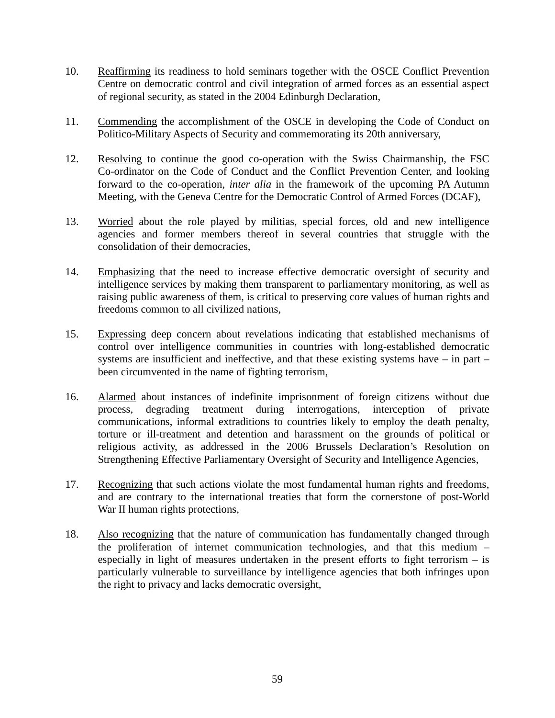- 10. Reaffirming its readiness to hold seminars together with the OSCE Conflict Prevention Centre on democratic control and civil integration of armed forces as an essential aspect of regional security, as stated in the 2004 Edinburgh Declaration,
- 11. Commending the accomplishment of the OSCE in developing the Code of Conduct on Politico-Military Aspects of Security and commemorating its 20th anniversary,
- 12. Resolving to continue the good co-operation with the Swiss Chairmanship, the FSC Co-ordinator on the Code of Conduct and the Conflict Prevention Center, and looking forward to the co-operation, *inter alia* in the framework of the upcoming PA Autumn Meeting, with the Geneva Centre for the Democratic Control of Armed Forces (DCAF),
- 13. Worried about the role played by militias, special forces, old and new intelligence agencies and former members thereof in several countries that struggle with the consolidation of their democracies,
- 14. Emphasizing that the need to increase effective democratic oversight of security and intelligence services by making them transparent to parliamentary monitoring, as well as raising public awareness of them, is critical to preserving core values of human rights and freedoms common to all civilized nations,
- 15. Expressing deep concern about revelations indicating that established mechanisms of control over intelligence communities in countries with long-established democratic systems are insufficient and ineffective, and that these existing systems have – in part – been circumvented in the name of fighting terrorism,
- 16. Alarmed about instances of indefinite imprisonment of foreign citizens without due process, degrading treatment during interrogations, interception of private communications, informal extraditions to countries likely to employ the death penalty, torture or ill-treatment and detention and harassment on the grounds of political or religious activity, as addressed in the 2006 Brussels Declaration's Resolution on Strengthening Effective Parliamentary Oversight of Security and Intelligence Agencies,
- 17. Recognizing that such actions violate the most fundamental human rights and freedoms, and are contrary to the international treaties that form the cornerstone of post-World War II human rights protections,
- 18. Also recognizing that the nature of communication has fundamentally changed through the proliferation of internet communication technologies, and that this medium – especially in light of measures undertaken in the present efforts to fight terrorism – is particularly vulnerable to surveillance by intelligence agencies that both infringes upon the right to privacy and lacks democratic oversight,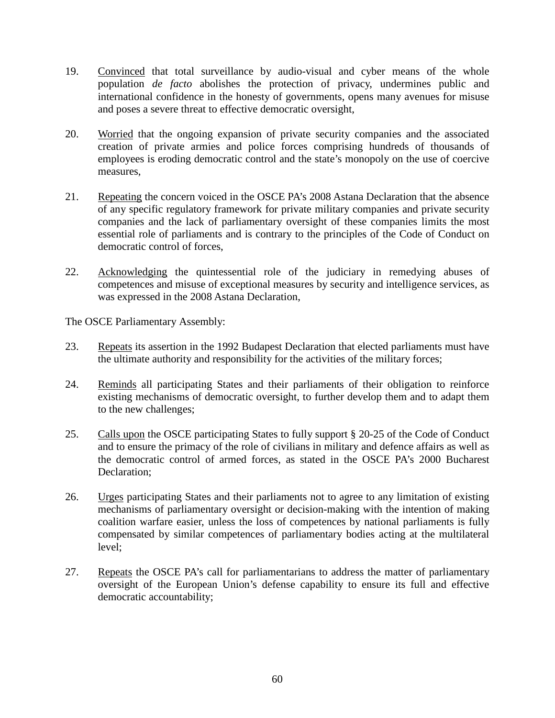- 19. Convinced that total surveillance by audio-visual and cyber means of the whole population *de facto* abolishes the protection of privacy, undermines public and international confidence in the honesty of governments, opens many avenues for misuse and poses a severe threat to effective democratic oversight,
- 20. Worried that the ongoing expansion of private security companies and the associated creation of private armies and police forces comprising hundreds of thousands of employees is eroding democratic control and the state's monopoly on the use of coercive measures,
- 21. Repeating the concern voiced in the OSCE PA's 2008 Astana Declaration that the absence of any specific regulatory framework for private military companies and private security companies and the lack of parliamentary oversight of these companies limits the most essential role of parliaments and is contrary to the principles of the Code of Conduct on democratic control of forces,
- 22. Acknowledging the quintessential role of the judiciary in remedying abuses of competences and misuse of exceptional measures by security and intelligence services, as was expressed in the 2008 Astana Declaration,

- 23. Repeats its assertion in the 1992 Budapest Declaration that elected parliaments must have the ultimate authority and responsibility for the activities of the military forces;
- 24. Reminds all participating States and their parliaments of their obligation to reinforce existing mechanisms of democratic oversight, to further develop them and to adapt them to the new challenges;
- 25. Calls upon the OSCE participating States to fully support § 20-25 of the Code of Conduct and to ensure the primacy of the role of civilians in military and defence affairs as well as the democratic control of armed forces, as stated in the OSCE PA's 2000 Bucharest Declaration;
- 26. Urges participating States and their parliaments not to agree to any limitation of existing mechanisms of parliamentary oversight or decision-making with the intention of making coalition warfare easier, unless the loss of competences by national parliaments is fully compensated by similar competences of parliamentary bodies acting at the multilateral level;
- 27. Repeats the OSCE PA's call for parliamentarians to address the matter of parliamentary oversight of the European Union's defense capability to ensure its full and effective democratic accountability;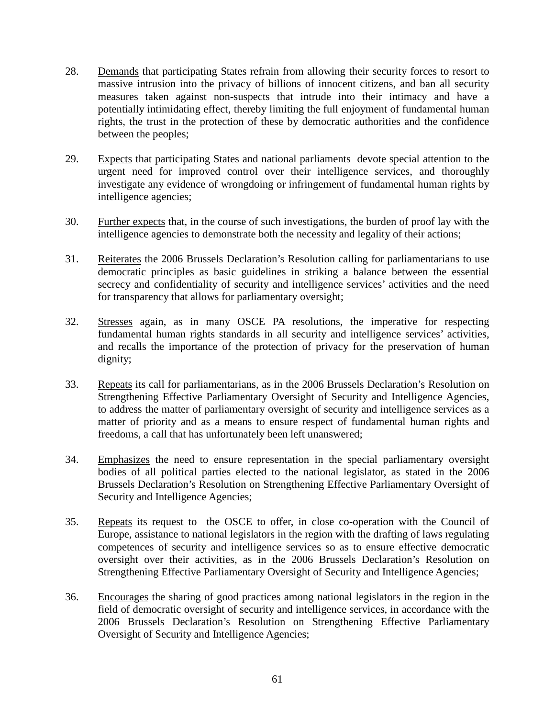- 28. Demands that participating States refrain from allowing their security forces to resort to massive intrusion into the privacy of billions of innocent citizens, and ban all security measures taken against non-suspects that intrude into their intimacy and have a potentially intimidating effect, thereby limiting the full enjoyment of fundamental human rights, the trust in the protection of these by democratic authorities and the confidence between the peoples;
- 29. Expects that participating States and national parliaments devote special attention to the urgent need for improved control over their intelligence services, and thoroughly investigate any evidence of wrongdoing or infringement of fundamental human rights by intelligence agencies;
- 30. Further expects that, in the course of such investigations, the burden of proof lay with the intelligence agencies to demonstrate both the necessity and legality of their actions;
- 31. Reiterates the 2006 Brussels Declaration's Resolution calling for parliamentarians to use democratic principles as basic guidelines in striking a balance between the essential secrecy and confidentiality of security and intelligence services' activities and the need for transparency that allows for parliamentary oversight;
- 32. Stresses again, as in many OSCE PA resolutions, the imperative for respecting fundamental human rights standards in all security and intelligence services' activities, and recalls the importance of the protection of privacy for the preservation of human dignity;
- 33. Repeats its call for parliamentarians, as in the 2006 Brussels Declaration's Resolution on Strengthening Effective Parliamentary Oversight of Security and Intelligence Agencies, to address the matter of parliamentary oversight of security and intelligence services as a matter of priority and as a means to ensure respect of fundamental human rights and freedoms, a call that has unfortunately been left unanswered;
- 34. Emphasizes the need to ensure representation in the special parliamentary oversight bodies of all political parties elected to the national legislator, as stated in the 2006 Brussels Declaration's Resolution on Strengthening Effective Parliamentary Oversight of Security and Intelligence Agencies;
- 35. Repeats its request to the OSCE to offer, in close co-operation with the Council of Europe, assistance to national legislators in the region with the drafting of laws regulating competences of security and intelligence services so as to ensure effective democratic oversight over their activities, as in the 2006 Brussels Declaration's Resolution on Strengthening Effective Parliamentary Oversight of Security and Intelligence Agencies;
- 36. Encourages the sharing of good practices among national legislators in the region in the field of democratic oversight of security and intelligence services, in accordance with the 2006 Brussels Declaration's Resolution on Strengthening Effective Parliamentary Oversight of Security and Intelligence Agencies;